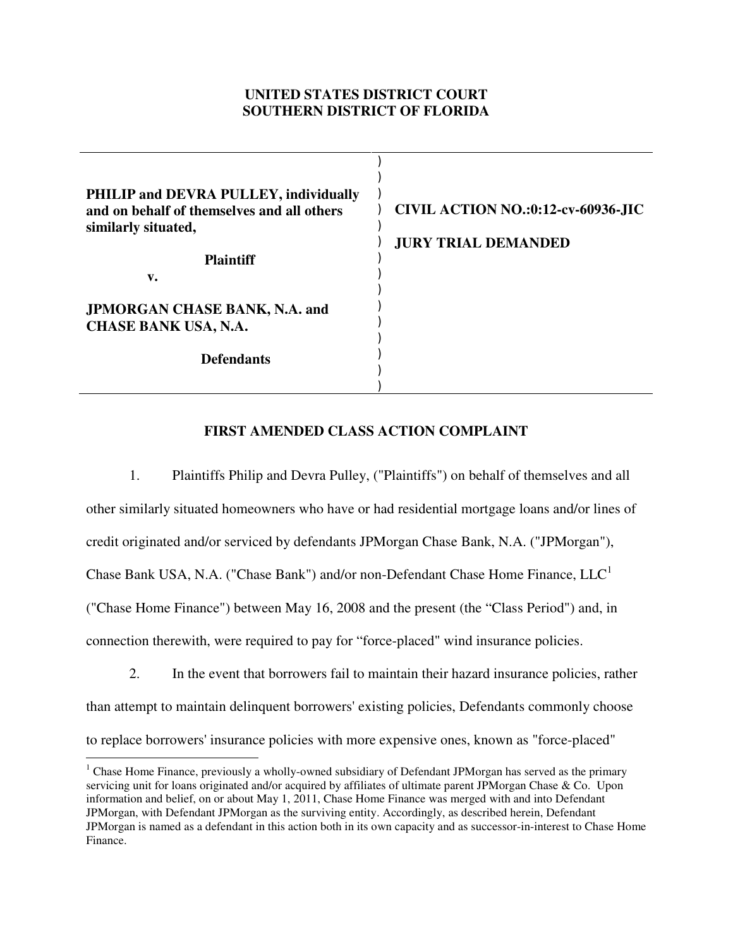## **UNITED STATES DISTRICT COURT SOUTHERN DISTRICT OF FLORIDA**

| <b>PHILIP and DEVRA PULLEY, individually</b><br>and on behalf of themselves and all others<br>similarly situated,<br><b>Plaintiff</b> | <b>CIVIL ACTION NO.:0:12-cv-60936-JIC</b><br><b>JURY TRIAL DEMANDED</b> |
|---------------------------------------------------------------------------------------------------------------------------------------|-------------------------------------------------------------------------|
| v.                                                                                                                                    |                                                                         |
|                                                                                                                                       |                                                                         |
|                                                                                                                                       |                                                                         |
| <b>JPMORGAN CHASE BANK, N.A. and</b>                                                                                                  |                                                                         |
| <b>CHASE BANK USA, N.A.</b>                                                                                                           |                                                                         |
|                                                                                                                                       |                                                                         |
| <b>Defendants</b>                                                                                                                     |                                                                         |
|                                                                                                                                       |                                                                         |

# **FIRST AMENDED CLASS ACTION COMPLAINT**

1. Plaintiffs Philip and Devra Pulley, ("Plaintiffs") on behalf of themselves and all other similarly situated homeowners who have or had residential mortgage loans and/or lines of credit originated and/or serviced by defendants JPMorgan Chase Bank, N.A. ("JPMorgan"), Chase Bank USA, N.A. ("Chase Bank") and/or non-Defendant Chase Home Finance,  $LLC<sup>1</sup>$ ("Chase Home Finance") between May 16, 2008 and the present (the "Class Period") and, in connection therewith, were required to pay for "force-placed" wind insurance policies.

2. In the event that borrowers fail to maintain their hazard insurance policies, rather than attempt to maintain delinquent borrowers' existing policies, Defendants commonly choose to replace borrowers' insurance policies with more expensive ones, known as "force-placed"

 $\overline{a}$ 

<sup>&</sup>lt;sup>1</sup> Chase Home Finance, previously a wholly-owned subsidiary of Defendant JPMorgan has served as the primary servicing unit for loans originated and/or acquired by affiliates of ultimate parent JPMorgan Chase & Co. Upon information and belief, on or about May 1, 2011, Chase Home Finance was merged with and into Defendant JPMorgan, with Defendant JPMorgan as the surviving entity. Accordingly, as described herein, Defendant JPMorgan is named as a defendant in this action both in its own capacity and as successor-in-interest to Chase Home Finance.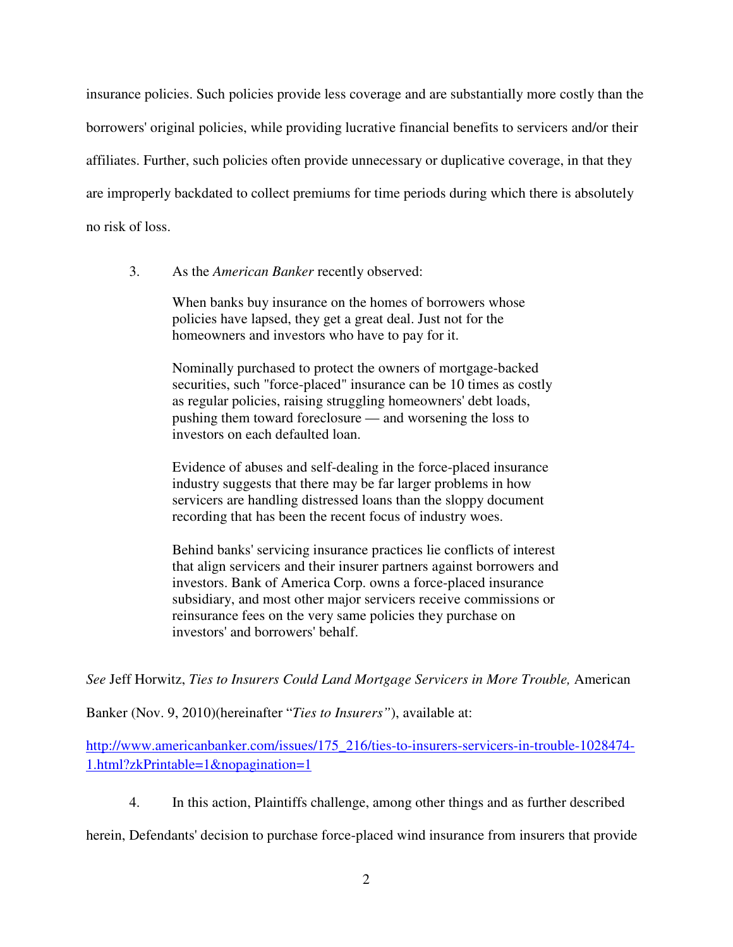insurance policies. Such policies provide less coverage and are substantially more costly than the borrowers' original policies, while providing lucrative financial benefits to servicers and/or their affiliates. Further, such policies often provide unnecessary or duplicative coverage, in that they are improperly backdated to collect premiums for time periods during which there is absolutely no risk of loss.

3. As the *American Banker* recently observed:

When banks buy insurance on the homes of borrowers whose policies have lapsed, they get a great deal. Just not for the homeowners and investors who have to pay for it.

Nominally purchased to protect the owners of mortgage-backed securities, such "force-placed" insurance can be 10 times as costly as regular policies, raising struggling homeowners' debt loads, pushing them toward foreclosure — and worsening the loss to investors on each defaulted loan.

Evidence of abuses and self-dealing in the force-placed insurance industry suggests that there may be far larger problems in how servicers are handling distressed loans than the sloppy document recording that has been the recent focus of industry woes.

Behind banks' servicing insurance practices lie conflicts of interest that align servicers and their insurer partners against borrowers and investors. Bank of America Corp. owns a force-placed insurance subsidiary, and most other major servicers receive commissions or reinsurance fees on the very same policies they purchase on investors' and borrowers' behalf.

*See* Jeff Horwitz, *Ties to Insurers Could Land Mortgage Servicers in More Trouble,* American

Banker (Nov. 9, 2010)(hereinafter "*Ties to Insurers"*), available at:

http://www.americanbanker.com/issues/175\_216/ties-to-insurers-servicers-in-trouble-1028474- 1.html?zkPrintable=1&nopagination=1

4. In this action, Plaintiffs challenge, among other things and as further described

herein, Defendants' decision to purchase force-placed wind insurance from insurers that provide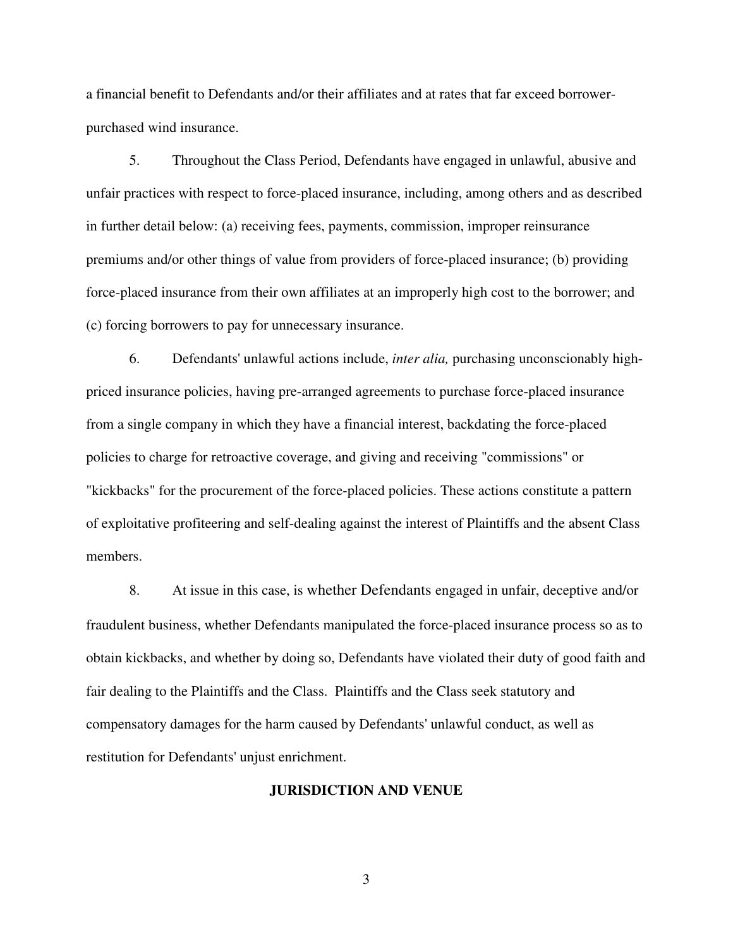a financial benefit to Defendants and/or their affiliates and at rates that far exceed borrowerpurchased wind insurance.

5. Throughout the Class Period, Defendants have engaged in unlawful, abusive and unfair practices with respect to force-placed insurance, including, among others and as described in further detail below: (a) receiving fees, payments, commission, improper reinsurance premiums and/or other things of value from providers of force-placed insurance; (b) providing force-placed insurance from their own affiliates at an improperly high cost to the borrower; and (c) forcing borrowers to pay for unnecessary insurance.

6. Defendants' unlawful actions include, *inter alia,* purchasing unconscionably highpriced insurance policies, having pre-arranged agreements to purchase force-placed insurance from a single company in which they have a financial interest, backdating the force-placed policies to charge for retroactive coverage, and giving and receiving "commissions" or "kickbacks" for the procurement of the force-placed policies. These actions constitute a pattern of exploitative profiteering and self-dealing against the interest of Plaintiffs and the absent Class members.

8. At issue in this case, is whether Defendants engaged in unfair, deceptive and/or fraudulent business, whether Defendants manipulated the force-placed insurance process so as to obtain kickbacks, and whether by doing so, Defendants have violated their duty of good faith and fair dealing to the Plaintiffs and the Class. Plaintiffs and the Class seek statutory and compensatory damages for the harm caused by Defendants' unlawful conduct, as well as restitution for Defendants' unjust enrichment.

#### **JURISDICTION AND VENUE**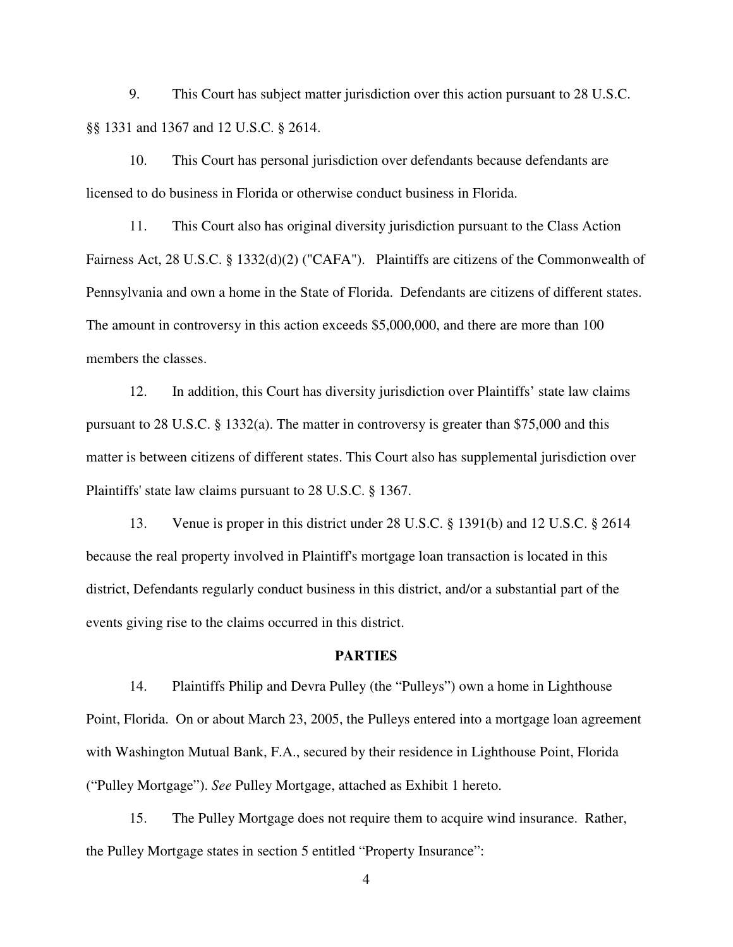9. This Court has subject matter jurisdiction over this action pursuant to 28 U.S.C. §§ 1331 and 1367 and 12 U.S.C. § 2614.

10. This Court has personal jurisdiction over defendants because defendants are licensed to do business in Florida or otherwise conduct business in Florida.

11. This Court also has original diversity jurisdiction pursuant to the Class Action Fairness Act, 28 U.S.C. § 1332(d)(2) ("CAFA"). Plaintiffs are citizens of the Commonwealth of Pennsylvania and own a home in the State of Florida. Defendants are citizens of different states. The amount in controversy in this action exceeds \$5,000,000, and there are more than 100 members the classes.

12. In addition, this Court has diversity jurisdiction over Plaintiffs' state law claims pursuant to 28 U.S.C. § 1332(a). The matter in controversy is greater than \$75,000 and this matter is between citizens of different states. This Court also has supplemental jurisdiction over Plaintiffs' state law claims pursuant to 28 U.S.C. § 1367.

13. Venue is proper in this district under 28 U.S.C. § 1391(b) and 12 U.S.C. § 2614 because the real property involved in Plaintiff's mortgage loan transaction is located in this district, Defendants regularly conduct business in this district, and/or a substantial part of the events giving rise to the claims occurred in this district.

#### **PARTIES**

14. Plaintiffs Philip and Devra Pulley (the "Pulleys") own a home in Lighthouse Point, Florida. On or about March 23, 2005, the Pulleys entered into a mortgage loan agreement with Washington Mutual Bank, F.A., secured by their residence in Lighthouse Point, Florida ("Pulley Mortgage"). *See* Pulley Mortgage, attached as Exhibit 1 hereto.

15. The Pulley Mortgage does not require them to acquire wind insurance. Rather, the Pulley Mortgage states in section 5 entitled "Property Insurance":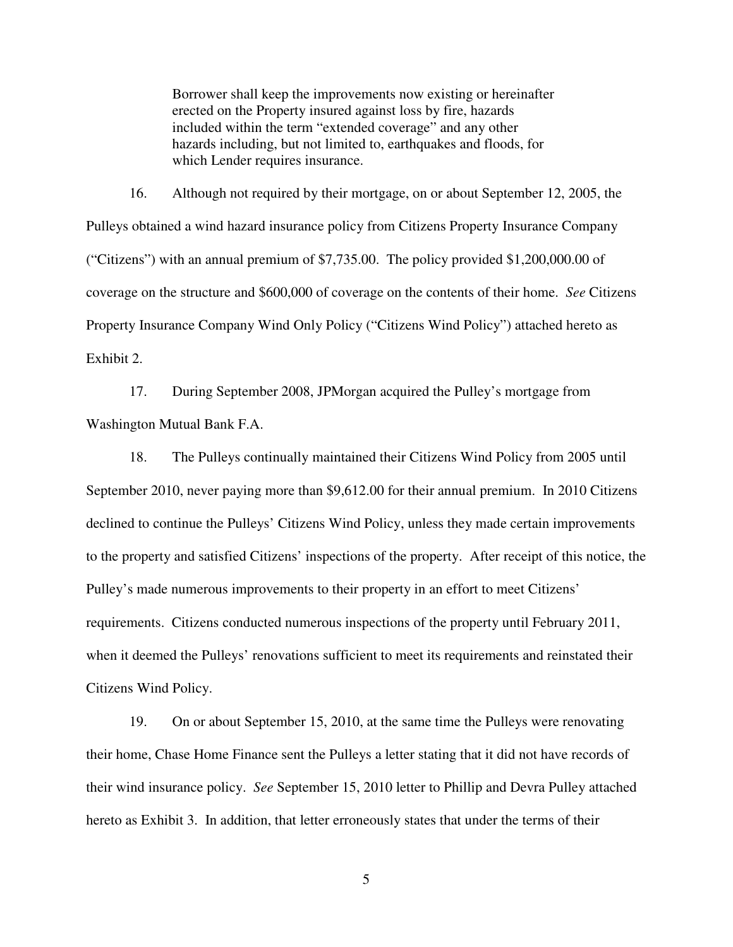Borrower shall keep the improvements now existing or hereinafter erected on the Property insured against loss by fire, hazards included within the term "extended coverage" and any other hazards including, but not limited to, earthquakes and floods, for which Lender requires insurance.

 16. Although not required by their mortgage, on or about September 12, 2005, the Pulleys obtained a wind hazard insurance policy from Citizens Property Insurance Company ("Citizens") with an annual premium of \$7,735.00. The policy provided \$1,200,000.00 of coverage on the structure and \$600,000 of coverage on the contents of their home. *See* Citizens Property Insurance Company Wind Only Policy ("Citizens Wind Policy") attached hereto as Exhibit 2.

17. During September 2008, JPMorgan acquired the Pulley's mortgage from Washington Mutual Bank F.A.

18. The Pulleys continually maintained their Citizens Wind Policy from 2005 until September 2010, never paying more than \$9,612.00 for their annual premium. In 2010 Citizens declined to continue the Pulleys' Citizens Wind Policy, unless they made certain improvements to the property and satisfied Citizens' inspections of the property. After receipt of this notice, the Pulley's made numerous improvements to their property in an effort to meet Citizens' requirements. Citizens conducted numerous inspections of the property until February 2011, when it deemed the Pulleys' renovations sufficient to meet its requirements and reinstated their Citizens Wind Policy.

19. On or about September 15, 2010, at the same time the Pulleys were renovating their home, Chase Home Finance sent the Pulleys a letter stating that it did not have records of their wind insurance policy. *See* September 15, 2010 letter to Phillip and Devra Pulley attached hereto as Exhibit 3. In addition, that letter erroneously states that under the terms of their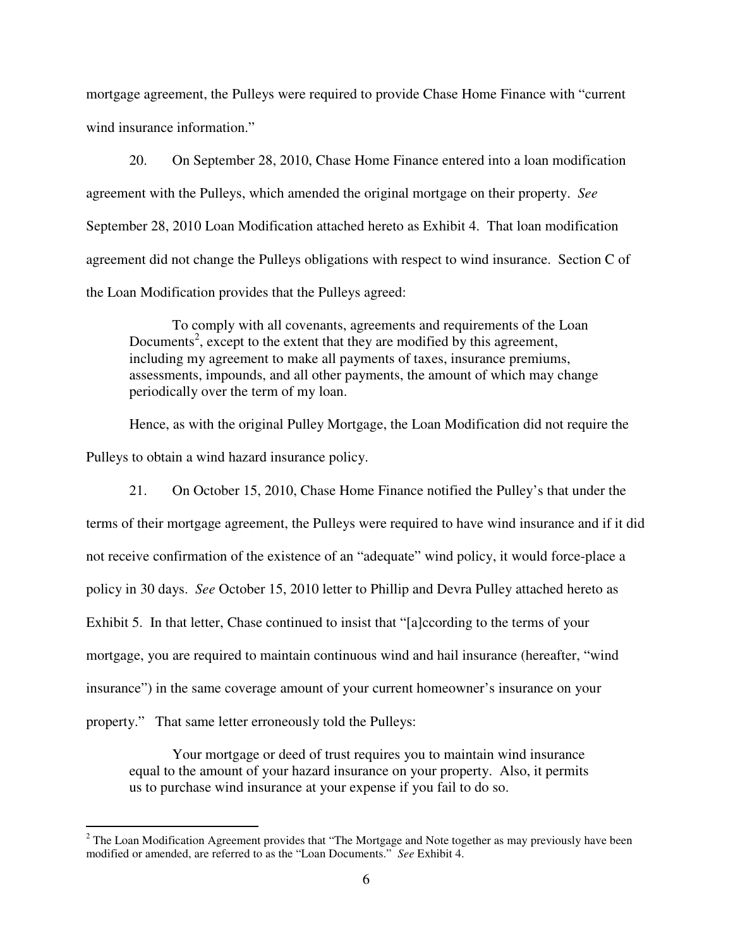mortgage agreement, the Pulleys were required to provide Chase Home Finance with "current wind insurance information."

20. On September 28, 2010, Chase Home Finance entered into a loan modification agreement with the Pulleys, which amended the original mortgage on their property. *See*  September 28, 2010 Loan Modification attached hereto as Exhibit 4. That loan modification agreement did not change the Pulleys obligations with respect to wind insurance. Section C of the Loan Modification provides that the Pulleys agreed:

To comply with all covenants, agreements and requirements of the Loan Documents<sup>2</sup>, except to the extent that they are modified by this agreement, including my agreement to make all payments of taxes, insurance premiums, assessments, impounds, and all other payments, the amount of which may change periodically over the term of my loan.

Hence, as with the original Pulley Mortgage, the Loan Modification did not require the Pulleys to obtain a wind hazard insurance policy.

21. On October 15, 2010, Chase Home Finance notified the Pulley's that under the terms of their mortgage agreement, the Pulleys were required to have wind insurance and if it did not receive confirmation of the existence of an "adequate" wind policy, it would force-place a policy in 30 days. *See* October 15, 2010 letter to Phillip and Devra Pulley attached hereto as Exhibit 5. In that letter, Chase continued to insist that "[a]ccording to the terms of your mortgage, you are required to maintain continuous wind and hail insurance (hereafter, "wind insurance") in the same coverage amount of your current homeowner's insurance on your property." That same letter erroneously told the Pulleys:

Your mortgage or deed of trust requires you to maintain wind insurance equal to the amount of your hazard insurance on your property. Also, it permits us to purchase wind insurance at your expense if you fail to do so.

<sup>&</sup>lt;sup>2</sup> The Loan Modification Agreement provides that "The Mortgage and Note together as may previously have been modified or amended, are referred to as the "Loan Documents." *See* Exhibit 4.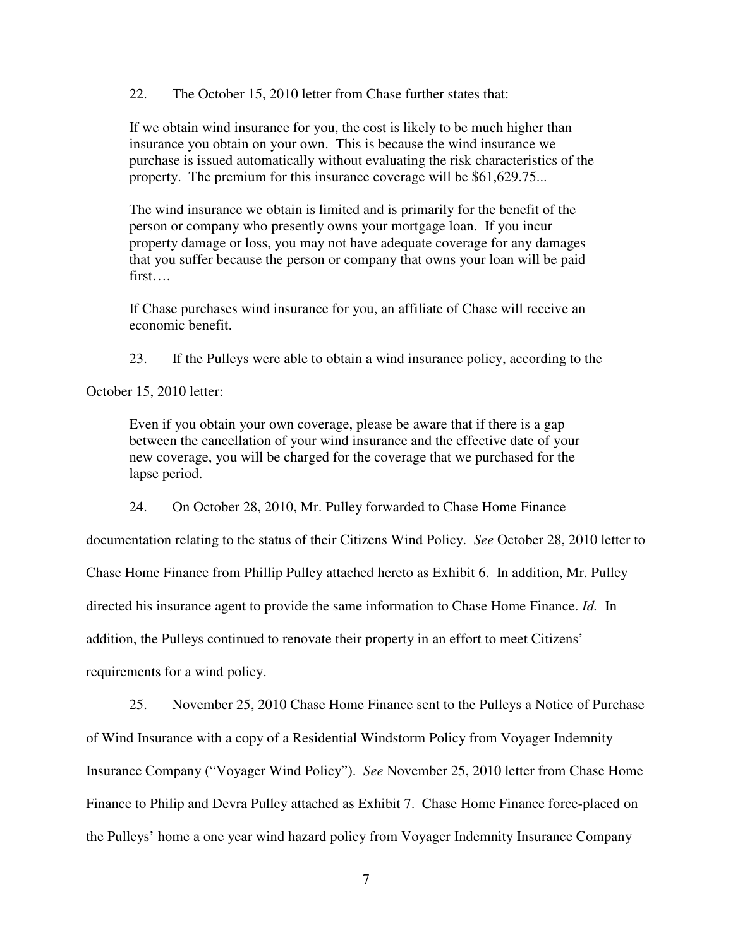22. The October 15, 2010 letter from Chase further states that:

If we obtain wind insurance for you, the cost is likely to be much higher than insurance you obtain on your own. This is because the wind insurance we purchase is issued automatically without evaluating the risk characteristics of the property. The premium for this insurance coverage will be \$61,629.75...

The wind insurance we obtain is limited and is primarily for the benefit of the person or company who presently owns your mortgage loan. If you incur property damage or loss, you may not have adequate coverage for any damages that you suffer because the person or company that owns your loan will be paid first….

If Chase purchases wind insurance for you, an affiliate of Chase will receive an economic benefit.

23. If the Pulleys were able to obtain a wind insurance policy, according to the

October 15, 2010 letter:

Even if you obtain your own coverage, please be aware that if there is a gap between the cancellation of your wind insurance and the effective date of your new coverage, you will be charged for the coverage that we purchased for the lapse period.

24. On October 28, 2010, Mr. Pulley forwarded to Chase Home Finance

documentation relating to the status of their Citizens Wind Policy. *See* October 28, 2010 letter to

Chase Home Finance from Phillip Pulley attached hereto as Exhibit 6. In addition, Mr. Pulley

directed his insurance agent to provide the same information to Chase Home Finance. *Id.* In

addition, the Pulleys continued to renovate their property in an effort to meet Citizens'

requirements for a wind policy.

25. November 25, 2010 Chase Home Finance sent to the Pulleys a Notice of Purchase of Wind Insurance with a copy of a Residential Windstorm Policy from Voyager Indemnity Insurance Company ("Voyager Wind Policy"). *See* November 25, 2010 letter from Chase Home Finance to Philip and Devra Pulley attached as Exhibit 7. Chase Home Finance force-placed on the Pulleys' home a one year wind hazard policy from Voyager Indemnity Insurance Company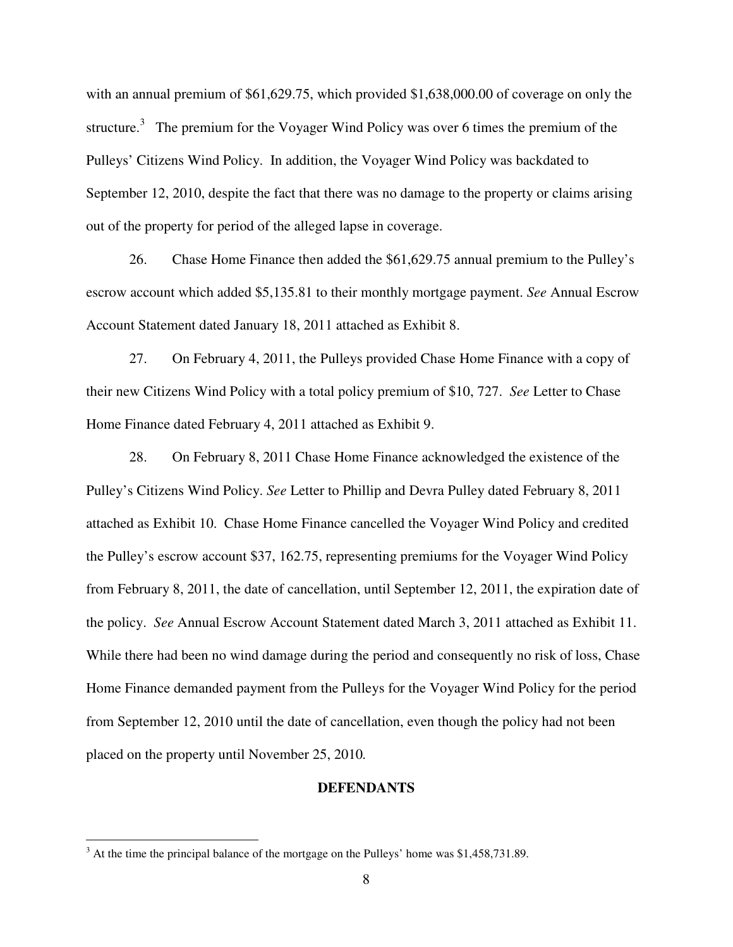with an annual premium of \$61,629.75, which provided \$1,638,000.00 of coverage on only the structure.<sup>3</sup> The premium for the Voyager Wind Policy was over 6 times the premium of the Pulleys' Citizens Wind Policy. In addition, the Voyager Wind Policy was backdated to September 12, 2010, despite the fact that there was no damage to the property or claims arising out of the property for period of the alleged lapse in coverage.

26. Chase Home Finance then added the \$61,629.75 annual premium to the Pulley's escrow account which added \$5,135.81 to their monthly mortgage payment. *See* Annual Escrow Account Statement dated January 18, 2011 attached as Exhibit 8.

27. On February 4, 2011, the Pulleys provided Chase Home Finance with a copy of their new Citizens Wind Policy with a total policy premium of \$10, 727. *See* Letter to Chase Home Finance dated February 4, 2011 attached as Exhibit 9.

28. On February 8, 2011 Chase Home Finance acknowledged the existence of the Pulley's Citizens Wind Policy. *See* Letter to Phillip and Devra Pulley dated February 8, 2011 attached as Exhibit 10. Chase Home Finance cancelled the Voyager Wind Policy and credited the Pulley's escrow account \$37, 162.75, representing premiums for the Voyager Wind Policy from February 8, 2011, the date of cancellation, until September 12, 2011, the expiration date of the policy. *See* Annual Escrow Account Statement dated March 3, 2011 attached as Exhibit 11. While there had been no wind damage during the period and consequently no risk of loss, Chase Home Finance demanded payment from the Pulleys for the Voyager Wind Policy for the period from September 12, 2010 until the date of cancellation, even though the policy had not been placed on the property until November 25, 2010*.* 

#### **DEFENDANTS**

 $\overline{a}$ 

 $3$  At the time the principal balance of the mortgage on the Pulleys' home was \$1,458,731.89.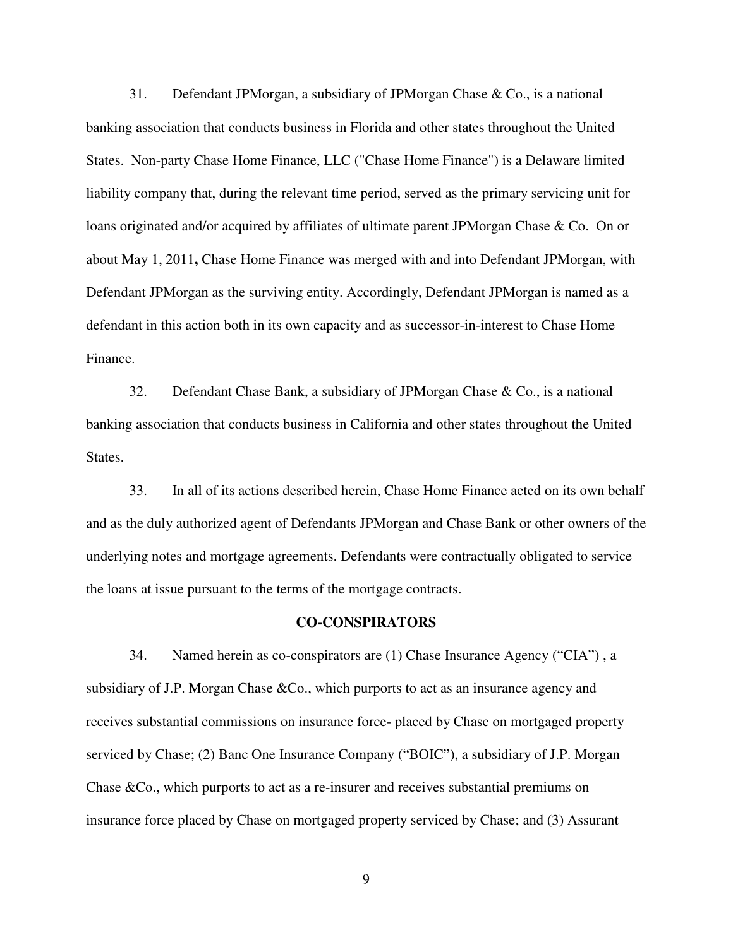31. Defendant JPMorgan, a subsidiary of JPMorgan Chase & Co., is a national banking association that conducts business in Florida and other states throughout the United States. Non-party Chase Home Finance, LLC ("Chase Home Finance") is a Delaware limited liability company that, during the relevant time period, served as the primary servicing unit for loans originated and/or acquired by affiliates of ultimate parent JPMorgan Chase & Co. On or about May 1, 2011**,** Chase Home Finance was merged with and into Defendant JPMorgan, with Defendant JPMorgan as the surviving entity. Accordingly, Defendant JPMorgan is named as a defendant in this action both in its own capacity and as successor-in-interest to Chase Home Finance.

32. Defendant Chase Bank, a subsidiary of JPMorgan Chase & Co., is a national banking association that conducts business in California and other states throughout the United States.

33. In all of its actions described herein, Chase Home Finance acted on its own behalf and as the duly authorized agent of Defendants JPMorgan and Chase Bank or other owners of the underlying notes and mortgage agreements. Defendants were contractually obligated to service the loans at issue pursuant to the terms of the mortgage contracts.

#### **CO-CONSPIRATORS**

34. Named herein as co-conspirators are (1) Chase Insurance Agency ("CIA") , a subsidiary of J.P. Morgan Chase &Co., which purports to act as an insurance agency and receives substantial commissions on insurance force- placed by Chase on mortgaged property serviced by Chase; (2) Banc One Insurance Company ("BOIC"), a subsidiary of J.P. Morgan Chase &Co., which purports to act as a re-insurer and receives substantial premiums on insurance force placed by Chase on mortgaged property serviced by Chase; and (3) Assurant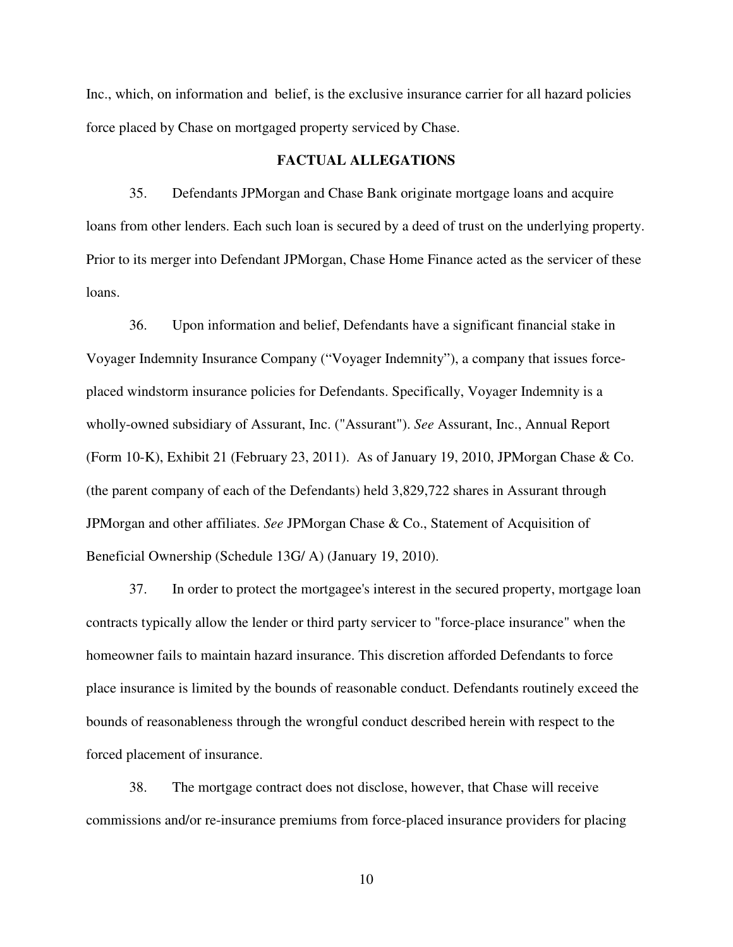Inc., which, on information and belief, is the exclusive insurance carrier for all hazard policies force placed by Chase on mortgaged property serviced by Chase.

#### **FACTUAL ALLEGATIONS**

35. Defendants JPMorgan and Chase Bank originate mortgage loans and acquire loans from other lenders. Each such loan is secured by a deed of trust on the underlying property. Prior to its merger into Defendant JPMorgan, Chase Home Finance acted as the servicer of these loans.

36. Upon information and belief, Defendants have a significant financial stake in Voyager Indemnity Insurance Company ("Voyager Indemnity"), a company that issues forceplaced windstorm insurance policies for Defendants. Specifically, Voyager Indemnity is a wholly-owned subsidiary of Assurant, Inc. ("Assurant"). *See* Assurant, Inc., Annual Report (Form 10-K), Exhibit 21 (February 23, 2011). As of January 19, 2010, JPMorgan Chase & Co. (the parent company of each of the Defendants) held 3,829,722 shares in Assurant through JPMorgan and other affiliates. *See* JPMorgan Chase & Co., Statement of Acquisition of Beneficial Ownership (Schedule 13G/ A) (January 19, 2010).

37. In order to protect the mortgagee's interest in the secured property, mortgage loan contracts typically allow the lender or third party servicer to "force-place insurance" when the homeowner fails to maintain hazard insurance. This discretion afforded Defendants to force place insurance is limited by the bounds of reasonable conduct. Defendants routinely exceed the bounds of reasonableness through the wrongful conduct described herein with respect to the forced placement of insurance.

38. The mortgage contract does not disclose, however, that Chase will receive commissions and/or re-insurance premiums from force-placed insurance providers for placing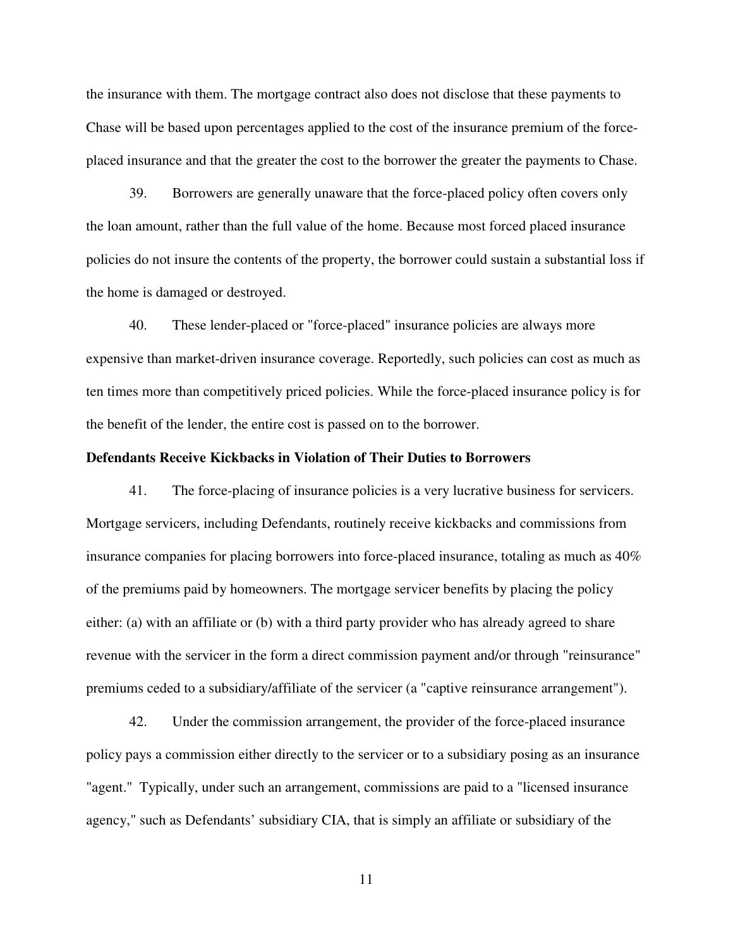the insurance with them. The mortgage contract also does not disclose that these payments to Chase will be based upon percentages applied to the cost of the insurance premium of the forceplaced insurance and that the greater the cost to the borrower the greater the payments to Chase.

39. Borrowers are generally unaware that the force-placed policy often covers only the loan amount, rather than the full value of the home. Because most forced placed insurance policies do not insure the contents of the property, the borrower could sustain a substantial loss if the home is damaged or destroyed.

40. These lender-placed or "force-placed" insurance policies are always more expensive than market-driven insurance coverage. Reportedly, such policies can cost as much as ten times more than competitively priced policies. While the force-placed insurance policy is for the benefit of the lender, the entire cost is passed on to the borrower.

#### **Defendants Receive Kickbacks in Violation of Their Duties to Borrowers**

41. The force-placing of insurance policies is a very lucrative business for servicers. Mortgage servicers, including Defendants, routinely receive kickbacks and commissions from insurance companies for placing borrowers into force-placed insurance, totaling as much as 40% of the premiums paid by homeowners. The mortgage servicer benefits by placing the policy either: (a) with an affiliate or (b) with a third party provider who has already agreed to share revenue with the servicer in the form a direct commission payment and/or through "reinsurance" premiums ceded to a subsidiary/affiliate of the servicer (a "captive reinsurance arrangement").

42. Under the commission arrangement, the provider of the force-placed insurance policy pays a commission either directly to the servicer or to a subsidiary posing as an insurance "agent." Typically, under such an arrangement, commissions are paid to a "licensed insurance agency," such as Defendants' subsidiary CIA, that is simply an affiliate or subsidiary of the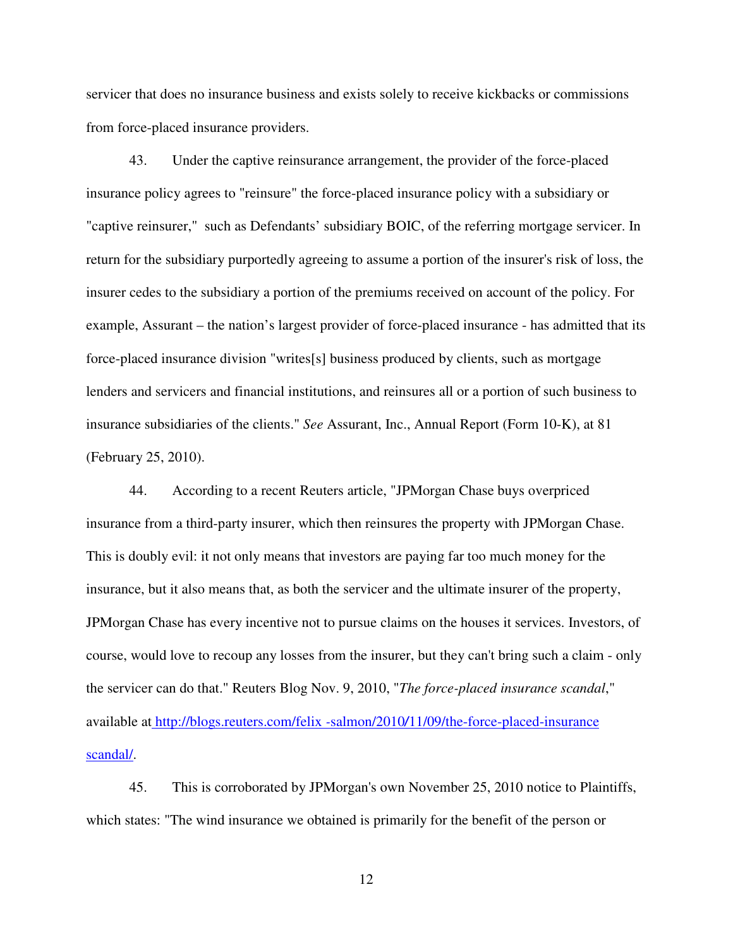servicer that does no insurance business and exists solely to receive kickbacks or commissions from force-placed insurance providers.

43. Under the captive reinsurance arrangement, the provider of the force-placed insurance policy agrees to "reinsure" the force-placed insurance policy with a subsidiary or "captive reinsurer," such as Defendants' subsidiary BOIC, of the referring mortgage servicer. In return for the subsidiary purportedly agreeing to assume a portion of the insurer's risk of loss, the insurer cedes to the subsidiary a portion of the premiums received on account of the policy. For example, Assurant – the nation's largest provider of force-placed insurance - has admitted that its force-placed insurance division "writes[s] business produced by clients, such as mortgage lenders and servicers and financial institutions, and reinsures all or a portion of such business to insurance subsidiaries of the clients." *See* Assurant, Inc., Annual Report (Form 10-K), at 81 (February 25, 2010).

44. According to a recent Reuters article, "JPMorgan Chase buys overpriced insurance from a third-party insurer, which then reinsures the property with JPMorgan Chase. This is doubly evil: it not only means that investors are paying far too much money for the insurance, but it also means that, as both the servicer and the ultimate insurer of the property, JPMorgan Chase has every incentive not to pursue claims on the houses it services. Investors, of course, would love to recoup any losses from the insurer, but they can't bring such a claim - only the servicer can do that." Reuters Blog Nov. 9, 2010, "*The force-placed insurance scandal*," available at http://blogs.reuters.com/felix *-*salmon/2010*/*11/09/the-force-placed-insurance scandal/.

45. This is corroborated by JPMorgan's own November 25, 2010 notice to Plaintiffs, which states: "The wind insurance we obtained is primarily for the benefit of the person or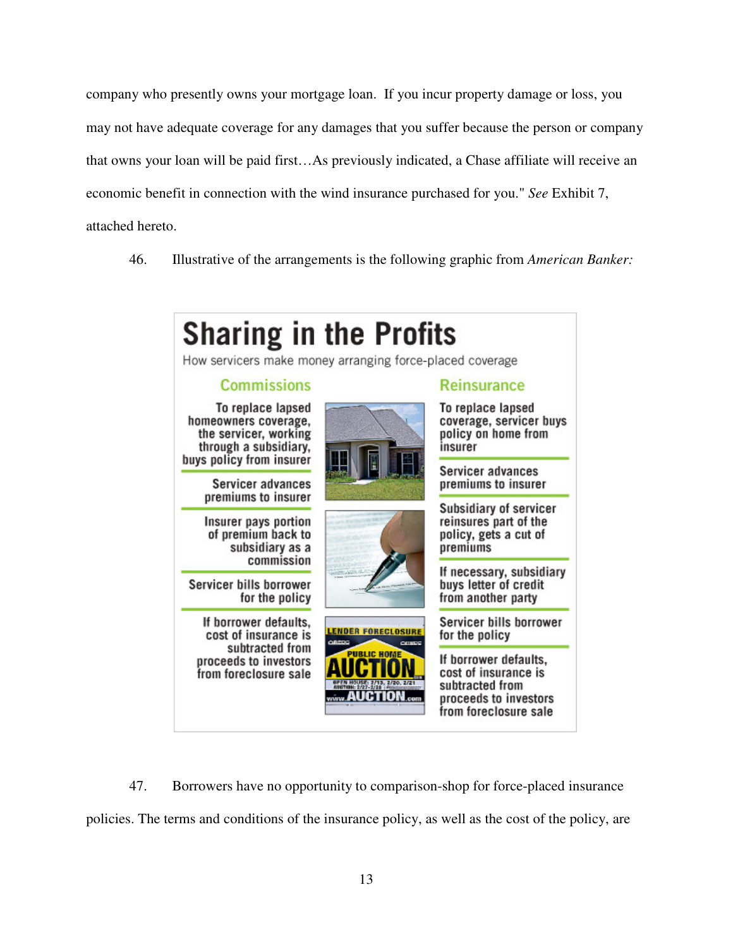company who presently owns your mortgage loan. If you incur property damage or loss, you may not have adequate coverage for any damages that you suffer because the person or company that owns your loan will be paid first…As previously indicated, a Chase affiliate will receive an economic benefit in connection with the wind insurance purchased for you." *See* Exhibit 7, attached hereto.

46. Illustrative of the arrangements is the following graphic from *American Banker:*



47. Borrowers have no opportunity to comparison-shop for force-placed insurance policies. The terms and conditions of the insurance policy, as well as the cost of the policy, are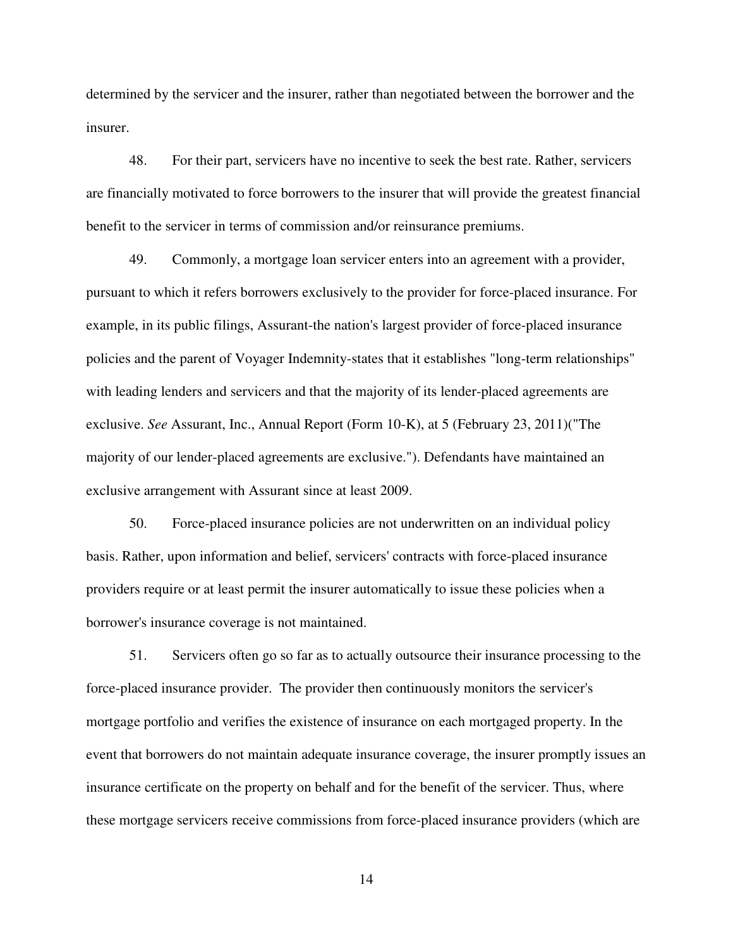determined by the servicer and the insurer, rather than negotiated between the borrower and the insurer.

48. For their part, servicers have no incentive to seek the best rate. Rather, servicers are financially motivated to force borrowers to the insurer that will provide the greatest financial benefit to the servicer in terms of commission and/or reinsurance premiums.

49. Commonly, a mortgage loan servicer enters into an agreement with a provider, pursuant to which it refers borrowers exclusively to the provider for force-placed insurance. For example, in its public filings, Assurant-the nation's largest provider of force-placed insurance policies and the parent of Voyager Indemnity-states that it establishes "long-term relationships" with leading lenders and servicers and that the majority of its lender-placed agreements are exclusive. *See* Assurant, Inc., Annual Report (Form 10-K), at 5 (February 23, 2011)("The majority of our lender-placed agreements are exclusive."). Defendants have maintained an exclusive arrangement with Assurant since at least 2009.

50. Force-placed insurance policies are not underwritten on an individual policy basis. Rather, upon information and belief, servicers' contracts with force-placed insurance providers require or at least permit the insurer automatically to issue these policies when a borrower's insurance coverage is not maintained.

51. Servicers often go so far as to actually outsource their insurance processing to the force-placed insurance provider. The provider then continuously monitors the servicer's mortgage portfolio and verifies the existence of insurance on each mortgaged property. In the event that borrowers do not maintain adequate insurance coverage, the insurer promptly issues an insurance certificate on the property on behalf and for the benefit of the servicer. Thus, where these mortgage servicers receive commissions from force-placed insurance providers (which are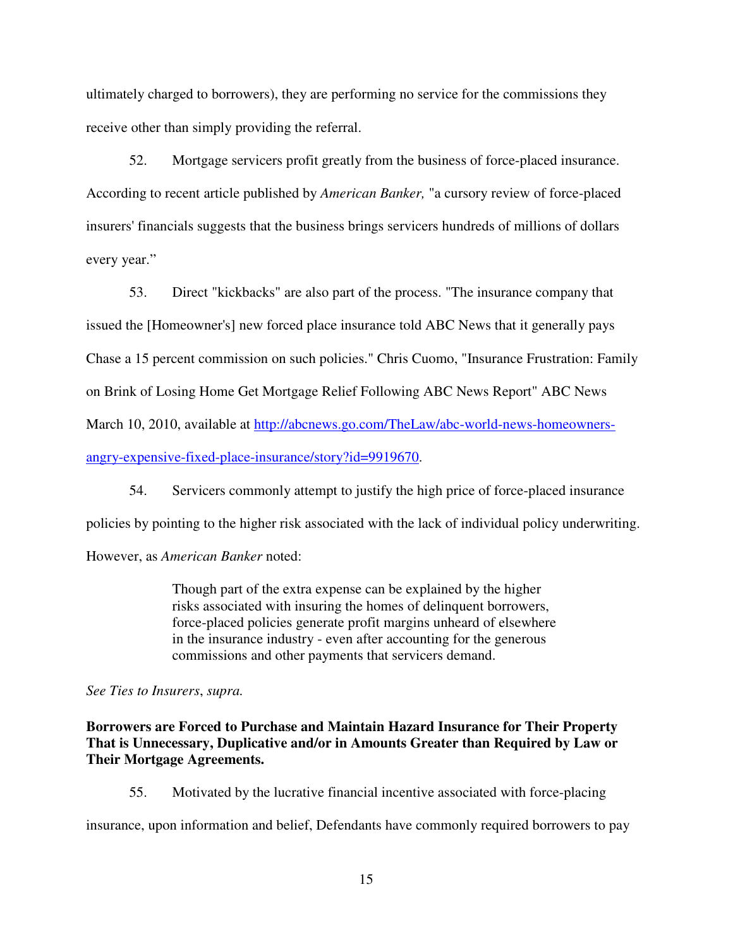ultimately charged to borrowers), they are performing no service for the commissions they receive other than simply providing the referral.

52. Mortgage servicers profit greatly from the business of force-placed insurance. According to recent article published by *American Banker,* "a cursory review of force-placed insurers' financials suggests that the business brings servicers hundreds of millions of dollars every year."

53. Direct "kickbacks" are also part of the process. "The insurance company that issued the [Homeowner's] new forced place insurance told ABC News that it generally pays Chase a 15 percent commission on such policies." Chris Cuomo, "Insurance Frustration: Family on Brink of Losing Home Get Mortgage Relief Following ABC News Report" ABC News March 10, 2010, available at http://abcnews.go.com/TheLaw/abc-world-news-homeownersangry-expensive-fixed-place-insurance/story?id=9919670.

54. Servicers commonly attempt to justify the high price of force-placed insurance policies by pointing to the higher risk associated with the lack of individual policy underwriting.

However, as *American Banker* noted:

Though part of the extra expense can be explained by the higher risks associated with insuring the homes of delinquent borrowers, force-placed policies generate profit margins unheard of elsewhere in the insurance industry - even after accounting for the generous commissions and other payments that servicers demand.

*See Ties to Insurers*, *supra.* 

**Borrowers are Forced to Purchase and Maintain Hazard Insurance for Their Property That is Unnecessary, Duplicative and/or in Amounts Greater than Required by Law or Their Mortgage Agreements.** 

55. Motivated by the lucrative financial incentive associated with force-placing

insurance, upon information and belief, Defendants have commonly required borrowers to pay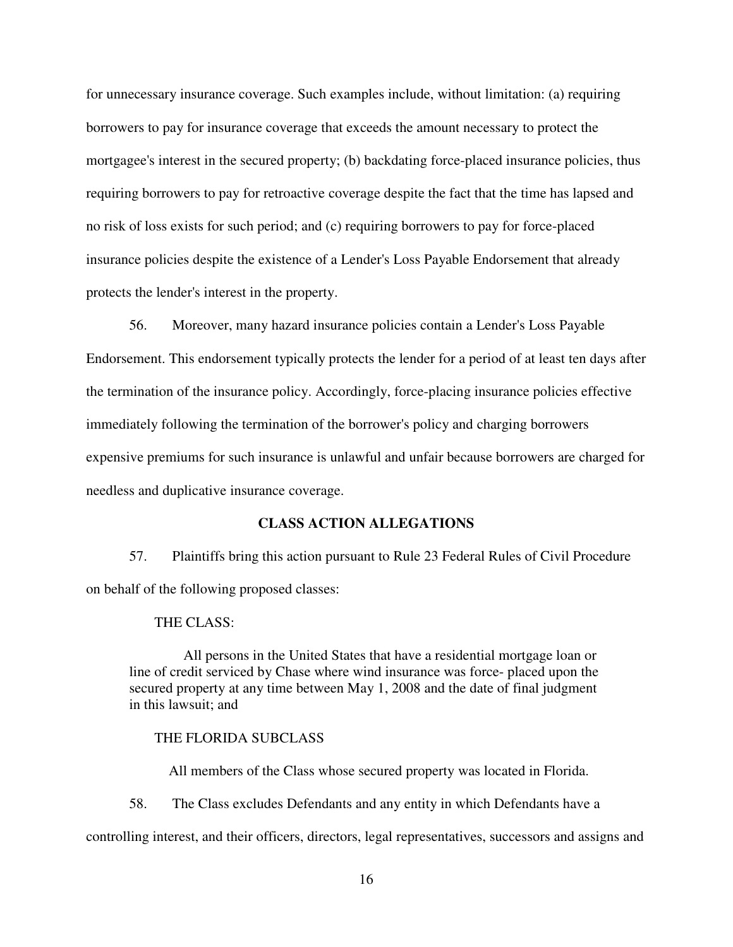for unnecessary insurance coverage. Such examples include, without limitation: (a) requiring borrowers to pay for insurance coverage that exceeds the amount necessary to protect the mortgagee's interest in the secured property; (b) backdating force-placed insurance policies, thus requiring borrowers to pay for retroactive coverage despite the fact that the time has lapsed and no risk of loss exists for such period; and (c) requiring borrowers to pay for force-placed insurance policies despite the existence of a Lender's Loss Payable Endorsement that already protects the lender's interest in the property.

56. Moreover, many hazard insurance policies contain a Lender's Loss Payable Endorsement. This endorsement typically protects the lender for a period of at least ten days after the termination of the insurance policy. Accordingly, force-placing insurance policies effective immediately following the termination of the borrower's policy and charging borrowers expensive premiums for such insurance is unlawful and unfair because borrowers are charged for needless and duplicative insurance coverage.

### **CLASS ACTION ALLEGATIONS**

57. Plaintiffs bring this action pursuant to Rule 23 Federal Rules of Civil Procedure on behalf of the following proposed classes:

#### THE CLASS:

All persons in the United States that have a residential mortgage loan or line of credit serviced by Chase where wind insurance was force- placed upon the secured property at any time between May 1, 2008 and the date of final judgment in this lawsuit; and

#### THE FLORIDA SUBCLASS

All members of the Class whose secured property was located in Florida.

58. The Class excludes Defendants and any entity in which Defendants have a

controlling interest, and their officers, directors, legal representatives, successors and assigns and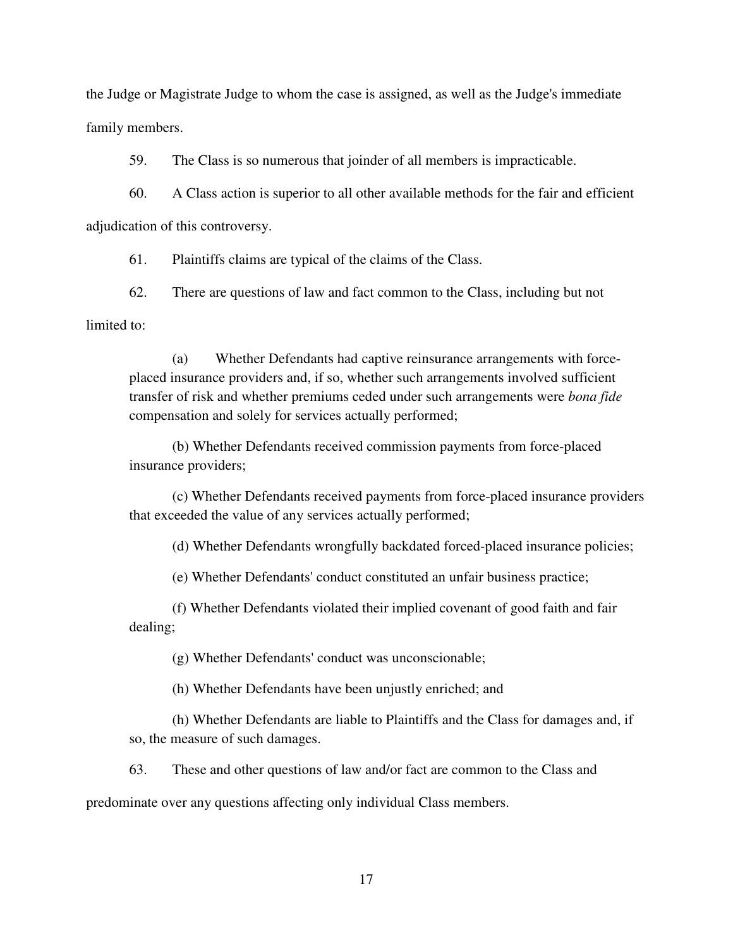the Judge or Magistrate Judge to whom the case is assigned, as well as the Judge's immediate family members.

59. The Class is so numerous that joinder of all members is impracticable.

60. A Class action is superior to all other available methods for the fair and efficient adjudication of this controversy.

61. Plaintiffs claims are typical of the claims of the Class.

62. There are questions of law and fact common to the Class, including but not

limited to:

(a) Whether Defendants had captive reinsurance arrangements with forceplaced insurance providers and, if so, whether such arrangements involved sufficient transfer of risk and whether premiums ceded under such arrangements were *bona fide*  compensation and solely for services actually performed;

(b) Whether Defendants received commission payments from force-placed insurance providers;

(c) Whether Defendants received payments from force-placed insurance providers that exceeded the value of any services actually performed;

(d) Whether Defendants wrongfully backdated forced-placed insurance policies;

(e) Whether Defendants' conduct constituted an unfair business practice;

(f) Whether Defendants violated their implied covenant of good faith and fair dealing;

(g) Whether Defendants' conduct was unconscionable;

(h) Whether Defendants have been unjustly enriched; and

(h) Whether Defendants are liable to Plaintiffs and the Class for damages and, if so, the measure of such damages.

63. These and other questions of law and/or fact are common to the Class and

predominate over any questions affecting only individual Class members.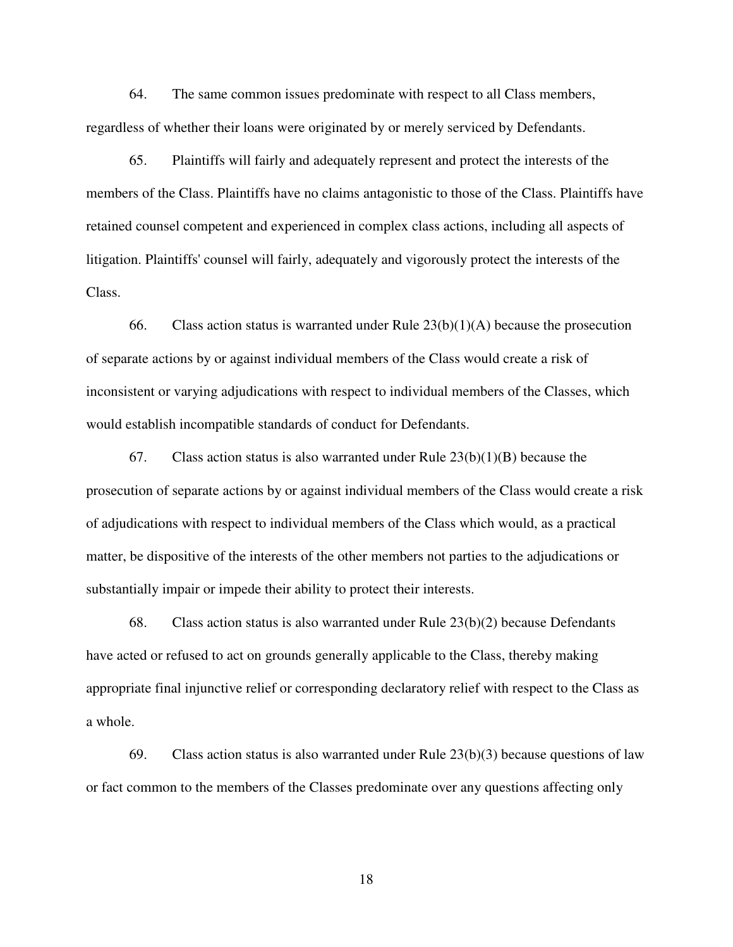64. The same common issues predominate with respect to all Class members, regardless of whether their loans were originated by or merely serviced by Defendants.

65. Plaintiffs will fairly and adequately represent and protect the interests of the members of the Class. Plaintiffs have no claims antagonistic to those of the Class. Plaintiffs have retained counsel competent and experienced in complex class actions, including all aspects of litigation. Plaintiffs' counsel will fairly, adequately and vigorously protect the interests of the Class.

66. Class action status is warranted under Rule  $23(b)(1)(A)$  because the prosecution of separate actions by or against individual members of the Class would create a risk of inconsistent or varying adjudications with respect to individual members of the Classes, which would establish incompatible standards of conduct for Defendants.

67. Class action status is also warranted under Rule  $23(b)(1)(B)$  because the prosecution of separate actions by or against individual members of the Class would create a risk of adjudications with respect to individual members of the Class which would, as a practical matter, be dispositive of the interests of the other members not parties to the adjudications or substantially impair or impede their ability to protect their interests.

68. Class action status is also warranted under Rule 23(b)(2) because Defendants have acted or refused to act on grounds generally applicable to the Class, thereby making appropriate final injunctive relief or corresponding declaratory relief with respect to the Class as a whole.

69. Class action status is also warranted under Rule 23(b)(3) because questions of law or fact common to the members of the Classes predominate over any questions affecting only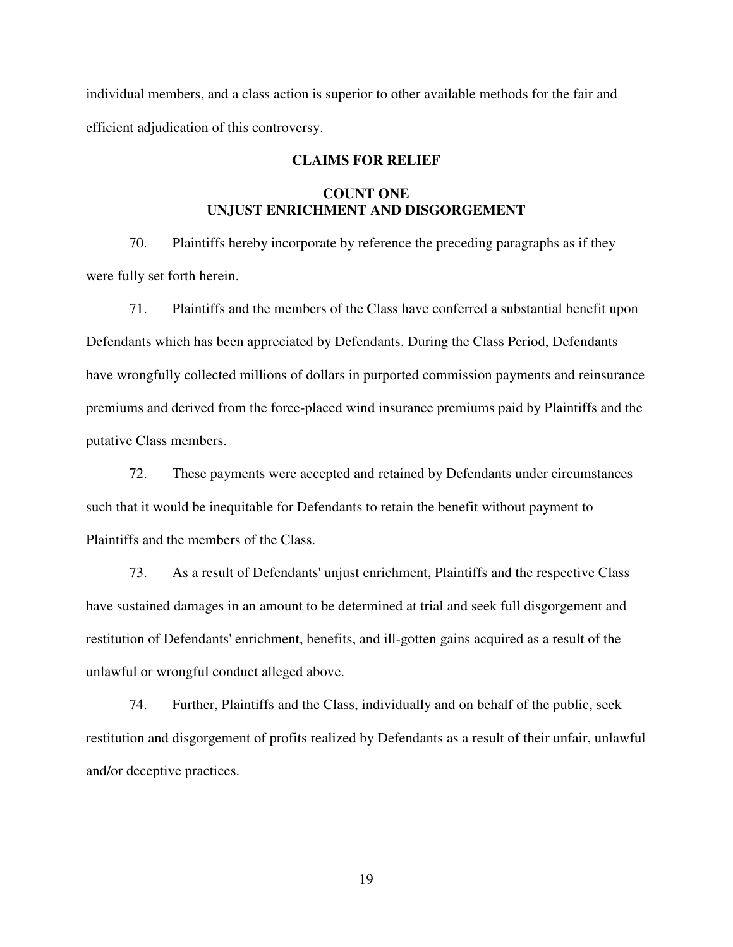individual members, and a class action is superior to other available methods for the fair and efficient adjudication of this controversy.

## **CLAIMS FOR RELIEF**

# **COUNT ONE UNJUST ENRICHMENT AND DISGORGEMENT**

70. Plaintiffs hereby incorporate by reference the preceding paragraphs as if they were fully set forth herein.

71. Plaintiffs and the members of the Class have conferred a substantial benefit upon Defendants which has been appreciated by Defendants. During the Class Period, Defendants have wrongfully collected millions of dollars in purported commission payments and reinsurance premiums and derived from the force-placed wind insurance premiums paid by Plaintiffs and the putative Class members.

72. These payments were accepted and retained by Defendants under circumstances such that it would be inequitable for Defendants to retain the benefit without payment to Plaintiffs and the members of the Class.

73. As a result of Defendants' unjust enrichment, Plaintiffs and the respective Class have sustained damages in an amount to be determined at trial and seek full disgorgement and restitution of Defendants' enrichment, benefits, and ill-gotten gains acquired as a result of the unlawful or wrongful conduct alleged above.

74. Further, Plaintiffs and the Class, individually and on behalf of the public, seek restitution and disgorgement of profits realized by Defendants as a result of their unfair, unlawful and/or deceptive practices.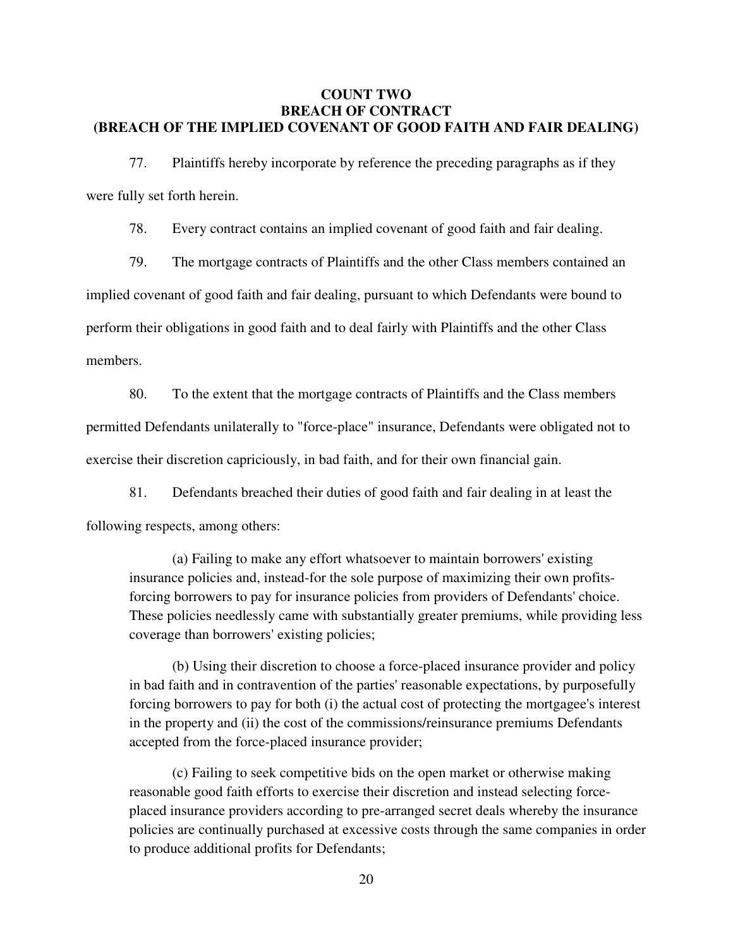### **COUNT TWO BREACH OF CONTRACT (BREACH OF THE IMPLIED COVENANT OF GOOD FAITH AND FAIR DEALING)**

77. Plaintiffs hereby incorporate by reference the preceding paragraphs as if they were fully set forth herein.

78. Every contract contains an implied covenant of good faith and fair dealing.

79. The mortgage contracts of Plaintiffs and the other Class members contained an implied covenant of good faith and fair dealing, pursuant to which Defendants were bound to perform their obligations in good faith and to deal fairly with Plaintiffs and the other Class members.

80. To the extent that the mortgage contracts of Plaintiffs and the Class members permitted Defendants unilaterally to "force-place" insurance, Defendants were obligated not to exercise their discretion capriciously, in bad faith, and for their own financial gain.

81. Defendants breached their duties of good faith and fair dealing in at least the following respects, among others:

(a) Failing to make any effort whatsoever to maintain borrowers' existing insurance policies and, instead-for the sole purpose of maximizing their own profitsforcing borrowers to pay for insurance policies from providers of Defendants' choice. These policies needlessly came with substantially greater premiums, while providing less coverage than borrowers' existing policies;

(b) Using their discretion to choose a force-placed insurance provider and policy in bad faith and in contravention of the parties' reasonable expectations, by purposefully forcing borrowers to pay for both (i) the actual cost of protecting the mortgagee's interest in the property and (ii) the cost of the commissions/reinsurance premiums Defendants accepted from the force-placed insurance provider;

(c) Failing to seek competitive bids on the open market or otherwise making reasonable good faith efforts to exercise their discretion and instead selecting forceplaced insurance providers according to pre-arranged secret deals whereby the insurance policies are continually purchased at excessive costs through the same companies in order to produce additional profits for Defendants;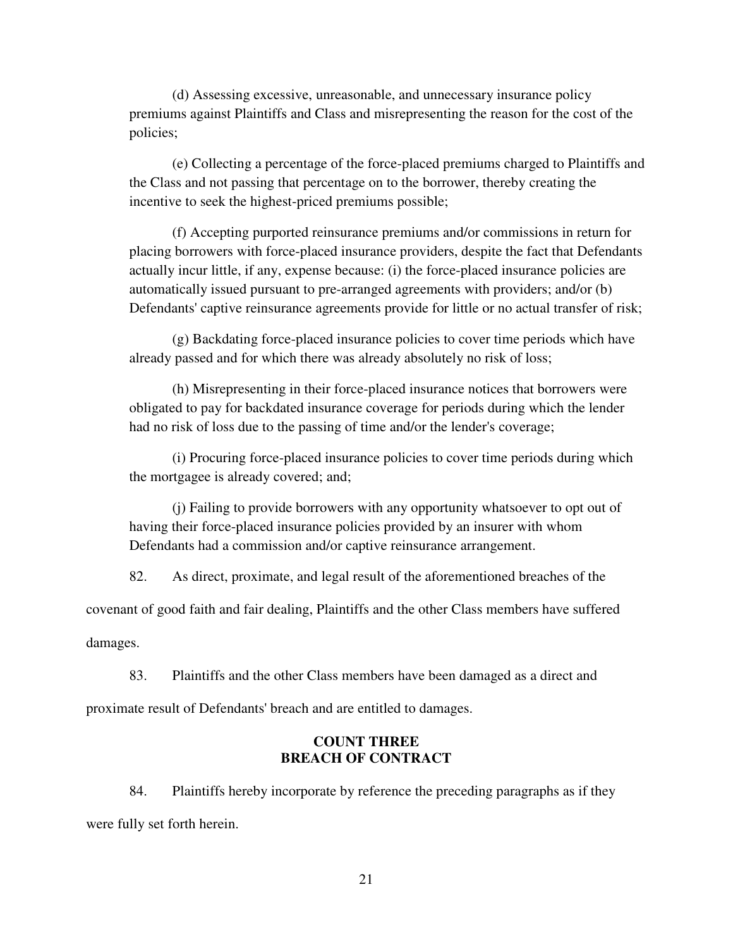(d) Assessing excessive, unreasonable, and unnecessary insurance policy premiums against Plaintiffs and Class and misrepresenting the reason for the cost of the policies;

(e) Collecting a percentage of the force-placed premiums charged to Plaintiffs and the Class and not passing that percentage on to the borrower, thereby creating the incentive to seek the highest-priced premiums possible;

(f) Accepting purported reinsurance premiums and/or commissions in return for placing borrowers with force-placed insurance providers, despite the fact that Defendants actually incur little, if any, expense because: (i) the force-placed insurance policies are automatically issued pursuant to pre-arranged agreements with providers; and/or (b) Defendants' captive reinsurance agreements provide for little or no actual transfer of risk;

(g) Backdating force-placed insurance policies to cover time periods which have already passed and for which there was already absolutely no risk of loss;

(h) Misrepresenting in their force-placed insurance notices that borrowers were obligated to pay for backdated insurance coverage for periods during which the lender had no risk of loss due to the passing of time and/or the lender's coverage;

(i) Procuring force-placed insurance policies to cover time periods during which the mortgagee is already covered; and;

(j) Failing to provide borrowers with any opportunity whatsoever to opt out of having their force-placed insurance policies provided by an insurer with whom Defendants had a commission and/or captive reinsurance arrangement.

82. As direct, proximate, and legal result of the aforementioned breaches of the

covenant of good faith and fair dealing, Plaintiffs and the other Class members have suffered damages.

83. Plaintiffs and the other Class members have been damaged as a direct and proximate result of Defendants' breach and are entitled to damages.

### **COUNT THREE BREACH OF CONTRACT**

84. Plaintiffs hereby incorporate by reference the preceding paragraphs as if they were fully set forth herein.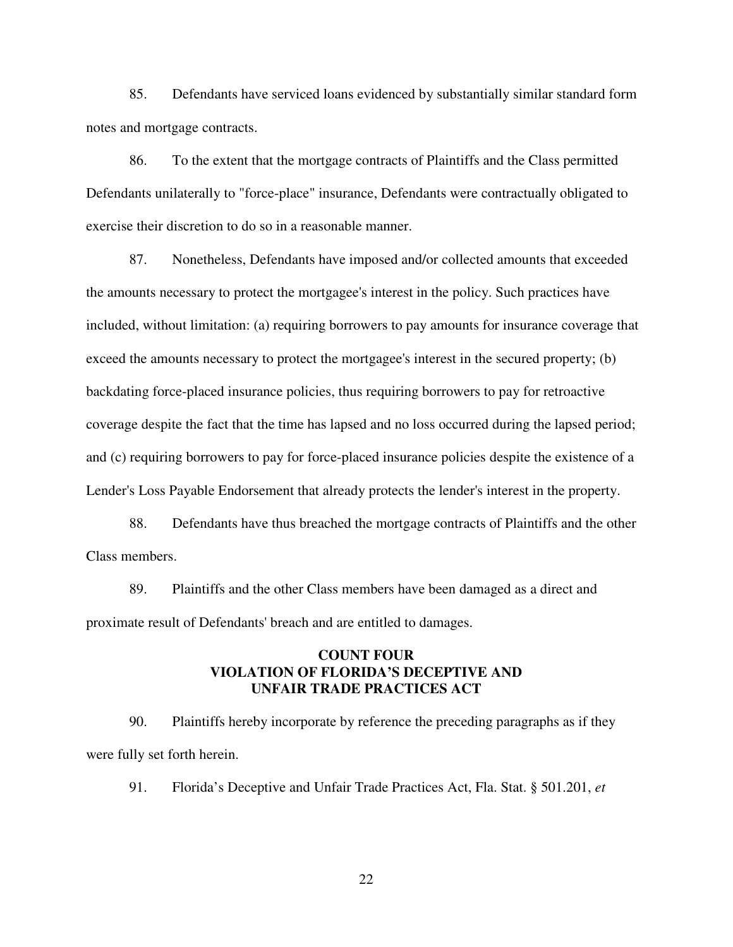85. Defendants have serviced loans evidenced by substantially similar standard form notes and mortgage contracts.

86. To the extent that the mortgage contracts of Plaintiffs and the Class permitted Defendants unilaterally to "force-place" insurance, Defendants were contractually obligated to exercise their discretion to do so in a reasonable manner.

87. Nonetheless, Defendants have imposed and/or collected amounts that exceeded the amounts necessary to protect the mortgagee's interest in the policy. Such practices have included, without limitation: (a) requiring borrowers to pay amounts for insurance coverage that exceed the amounts necessary to protect the mortgagee's interest in the secured property; (b) backdating force-placed insurance policies, thus requiring borrowers to pay for retroactive coverage despite the fact that the time has lapsed and no loss occurred during the lapsed period; and (c) requiring borrowers to pay for force-placed insurance policies despite the existence of a Lender's Loss Payable Endorsement that already protects the lender's interest in the property.

88. Defendants have thus breached the mortgage contracts of Plaintiffs and the other Class members.

89. Plaintiffs and the other Class members have been damaged as a direct and proximate result of Defendants' breach and are entitled to damages.

### **COUNT FOUR VIOLATION OF FLORIDA'S DECEPTIVE AND UNFAIR TRADE PRACTICES ACT**

90. Plaintiffs hereby incorporate by reference the preceding paragraphs as if they were fully set forth herein.

91. Florida's Deceptive and Unfair Trade Practices Act, Fla. Stat. § 501.201, *et*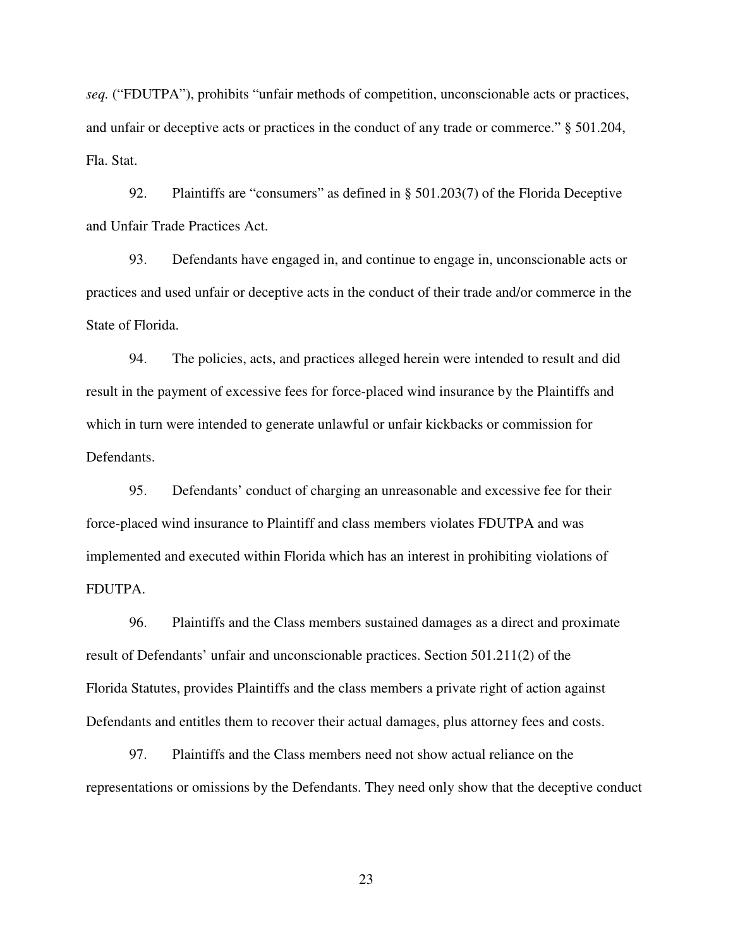*seq.* ("FDUTPA"), prohibits "unfair methods of competition, unconscionable acts or practices, and unfair or deceptive acts or practices in the conduct of any trade or commerce." § 501.204, Fla. Stat.

92. Plaintiffs are "consumers" as defined in § 501.203(7) of the Florida Deceptive and Unfair Trade Practices Act.

93. Defendants have engaged in, and continue to engage in, unconscionable acts or practices and used unfair or deceptive acts in the conduct of their trade and/or commerce in the State of Florida.

94. The policies, acts, and practices alleged herein were intended to result and did result in the payment of excessive fees for force-placed wind insurance by the Plaintiffs and which in turn were intended to generate unlawful or unfair kickbacks or commission for Defendants.

95. Defendants' conduct of charging an unreasonable and excessive fee for their force-placed wind insurance to Plaintiff and class members violates FDUTPA and was implemented and executed within Florida which has an interest in prohibiting violations of FDUTPA.

96. Plaintiffs and the Class members sustained damages as a direct and proximate result of Defendants' unfair and unconscionable practices. Section 501.211(2) of the Florida Statutes, provides Plaintiffs and the class members a private right of action against Defendants and entitles them to recover their actual damages, plus attorney fees and costs.

97. Plaintiffs and the Class members need not show actual reliance on the representations or omissions by the Defendants. They need only show that the deceptive conduct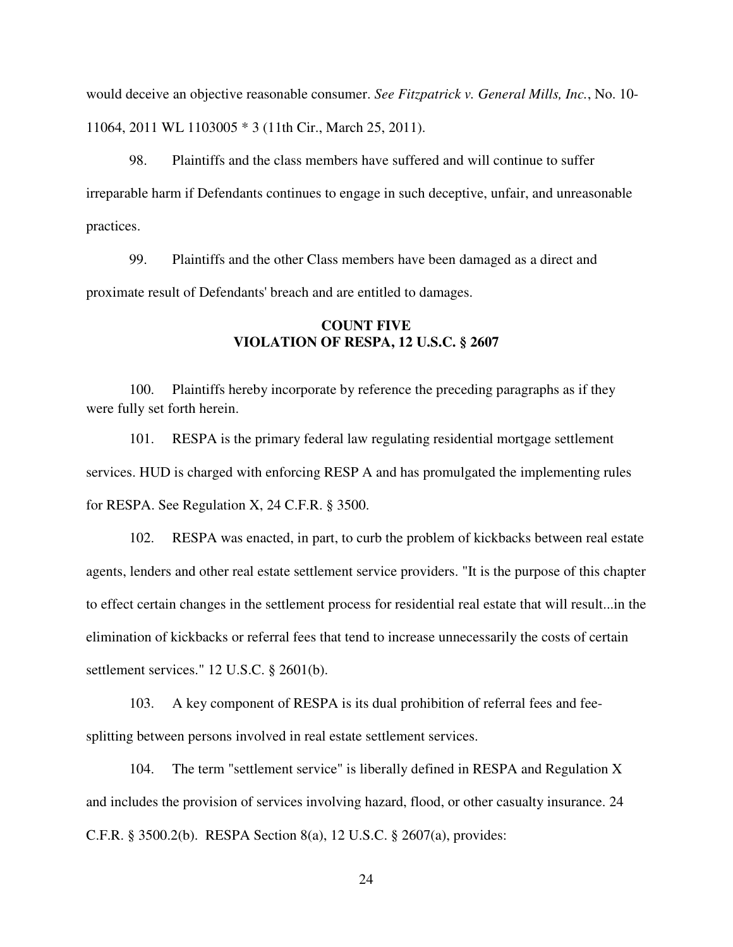would deceive an objective reasonable consumer. *See Fitzpatrick v. General Mills, Inc.*, No. 10- 11064, 2011 WL 1103005 \* 3 (11th Cir., March 25, 2011).

98. Plaintiffs and the class members have suffered and will continue to suffer irreparable harm if Defendants continues to engage in such deceptive, unfair, and unreasonable practices.

99. Plaintiffs and the other Class members have been damaged as a direct and proximate result of Defendants' breach and are entitled to damages.

# **COUNT FIVE VIOLATION OF RESPA, 12 U.S.C. § 2607**

100. Plaintiffs hereby incorporate by reference the preceding paragraphs as if they were fully set forth herein.

101. RESPA is the primary federal law regulating residential mortgage settlement services. HUD is charged with enforcing RESP A and has promulgated the implementing rules for RESPA. See Regulation X, 24 C.F.R. § 3500.

102. RESPA was enacted, in part, to curb the problem of kickbacks between real estate agents, lenders and other real estate settlement service providers. "It is the purpose of this chapter to effect certain changes in the settlement process for residential real estate that will result...in the elimination of kickbacks or referral fees that tend to increase unnecessarily the costs of certain settlement services." 12 U.S.C. § 2601(b).

103. A key component of RESPA is its dual prohibition of referral fees and feesplitting between persons involved in real estate settlement services.

104. The term "settlement service" is liberally defined in RESPA and Regulation X and includes the provision of services involving hazard, flood, or other casualty insurance. 24 C.F.R. § 3500.2(b). RESPA Section 8(a), 12 U.S.C. § 2607(a), provides: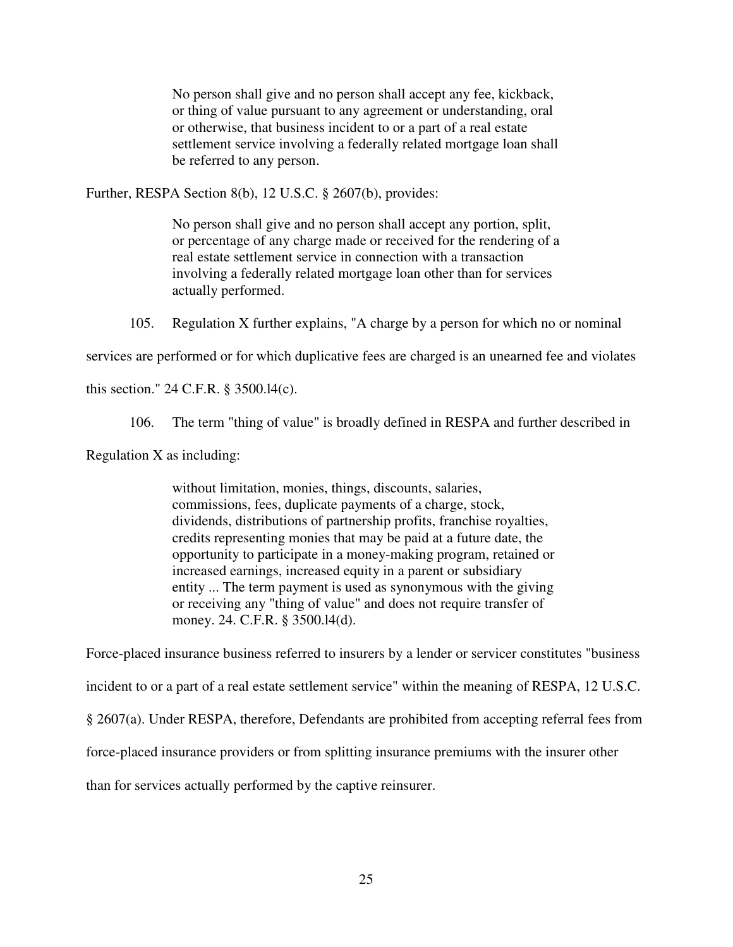No person shall give and no person shall accept any fee, kickback, or thing of value pursuant to any agreement or understanding, oral or otherwise, that business incident to or a part of a real estate settlement service involving a federally related mortgage loan shall be referred to any person.

Further, RESPA Section 8(b), 12 U.S.C. § 2607(b), provides:

No person shall give and no person shall accept any portion, split, or percentage of any charge made or received for the rendering of a real estate settlement service in connection with a transaction involving a federally related mortgage loan other than for services actually performed.

105. Regulation X further explains, "A charge by a person for which no or nominal

services are performed or for which duplicative fees are charged is an unearned fee and violates

this section." 24 C.F.R. § 3500.l4(c).

106. The term "thing of value" is broadly defined in RESPA and further described in

Regulation X as including:

without limitation, monies, things, discounts, salaries, commissions, fees, duplicate payments of a charge, stock, dividends, distributions of partnership profits, franchise royalties, credits representing monies that may be paid at a future date, the opportunity to participate in a money-making program, retained or increased earnings, increased equity in a parent or subsidiary entity ... The term payment is used as synonymous with the giving or receiving any "thing of value" and does not require transfer of money. 24. C.F.R. § 3500.l4(d).

Force-placed insurance business referred to insurers by a lender or servicer constitutes "business incident to or a part of a real estate settlement service" within the meaning of RESPA, 12 U.S.C. § 2607(a). Under RESPA, therefore, Defendants are prohibited from accepting referral fees from force-placed insurance providers or from splitting insurance premiums with the insurer other than for services actually performed by the captive reinsurer.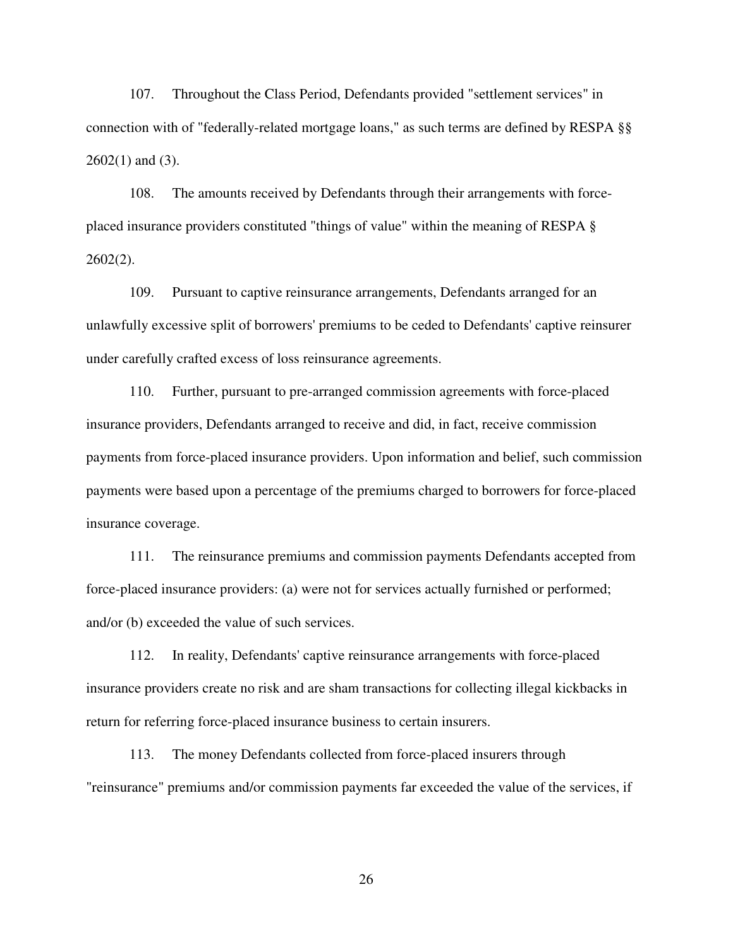107. Throughout the Class Period, Defendants provided "settlement services" in connection with of "federally-related mortgage loans," as such terms are defined by RESPA §§  $2602(1)$  and  $(3)$ .

108. The amounts received by Defendants through their arrangements with forceplaced insurance providers constituted "things of value" within the meaning of RESPA § 2602(2).

109. Pursuant to captive reinsurance arrangements, Defendants arranged for an unlawfully excessive split of borrowers' premiums to be ceded to Defendants' captive reinsurer under carefully crafted excess of loss reinsurance agreements.

110. Further, pursuant to pre-arranged commission agreements with force-placed insurance providers, Defendants arranged to receive and did, in fact, receive commission payments from force-placed insurance providers. Upon information and belief, such commission payments were based upon a percentage of the premiums charged to borrowers for force-placed insurance coverage.

111. The reinsurance premiums and commission payments Defendants accepted from force-placed insurance providers: (a) were not for services actually furnished or performed; and/or (b) exceeded the value of such services.

112. In reality, Defendants' captive reinsurance arrangements with force-placed insurance providers create no risk and are sham transactions for collecting illegal kickbacks in return for referring force-placed insurance business to certain insurers.

113. The money Defendants collected from force-placed insurers through "reinsurance" premiums and/or commission payments far exceeded the value of the services, if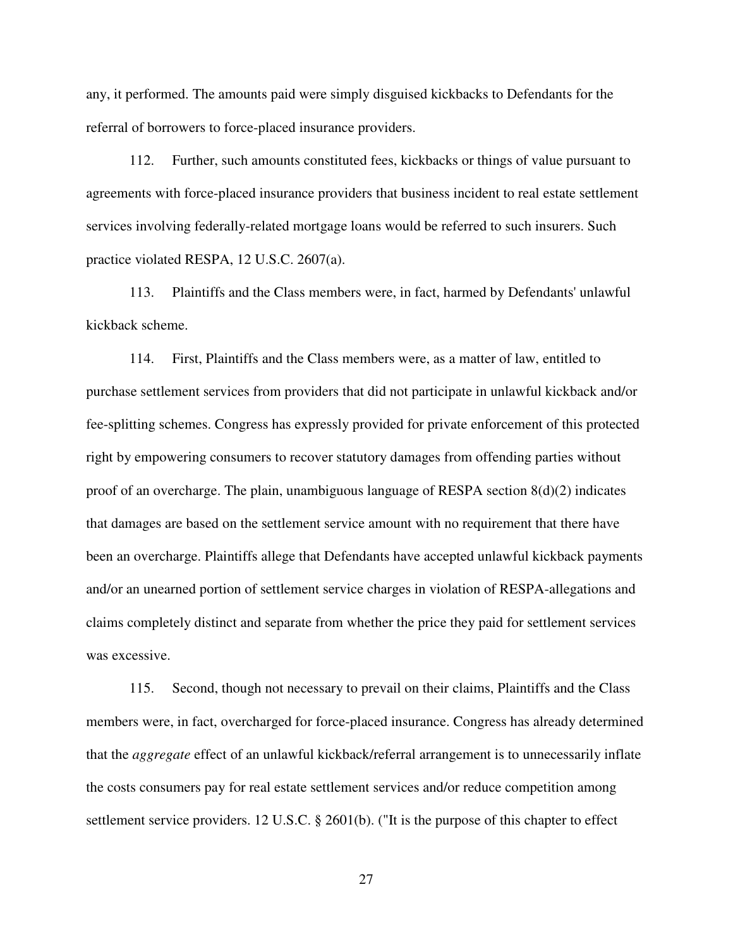any, it performed. The amounts paid were simply disguised kickbacks to Defendants for the referral of borrowers to force-placed insurance providers.

112. Further, such amounts constituted fees, kickbacks or things of value pursuant to agreements with force-placed insurance providers that business incident to real estate settlement services involving federally-related mortgage loans would be referred to such insurers. Such practice violated RESPA, 12 U.S.C. 2607(a).

113. Plaintiffs and the Class members were, in fact, harmed by Defendants' unlawful kickback scheme.

114. First, Plaintiffs and the Class members were, as a matter of law, entitled to purchase settlement services from providers that did not participate in unlawful kickback and/or fee-splitting schemes. Congress has expressly provided for private enforcement of this protected right by empowering consumers to recover statutory damages from offending parties without proof of an overcharge. The plain, unambiguous language of RESPA section 8(d)(2) indicates that damages are based on the settlement service amount with no requirement that there have been an overcharge. Plaintiffs allege that Defendants have accepted unlawful kickback payments and/or an unearned portion of settlement service charges in violation of RESPA-allegations and claims completely distinct and separate from whether the price they paid for settlement services was excessive.

115. Second, though not necessary to prevail on their claims, Plaintiffs and the Class members were, in fact, overcharged for force-placed insurance. Congress has already determined that the *aggregate* effect of an unlawful kickback/referral arrangement is to unnecessarily inflate the costs consumers pay for real estate settlement services and/or reduce competition among settlement service providers. 12 U.S.C. § 2601(b). ("It is the purpose of this chapter to effect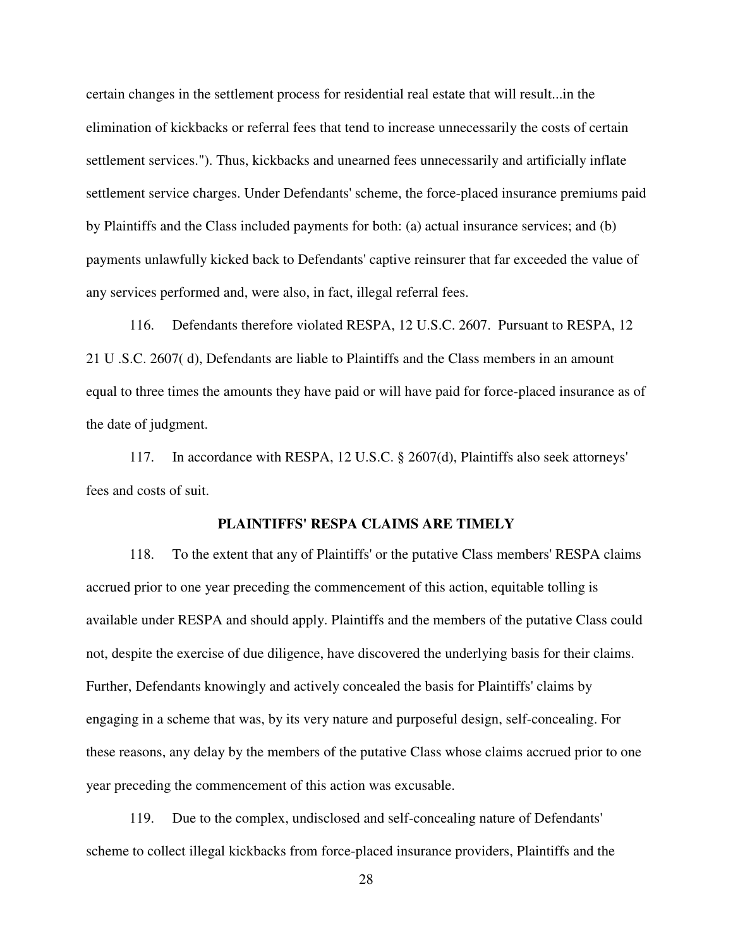certain changes in the settlement process for residential real estate that will result...in the elimination of kickbacks or referral fees that tend to increase unnecessarily the costs of certain settlement services."). Thus, kickbacks and unearned fees unnecessarily and artificially inflate settlement service charges. Under Defendants' scheme, the force-placed insurance premiums paid by Plaintiffs and the Class included payments for both: (a) actual insurance services; and (b) payments unlawfully kicked back to Defendants' captive reinsurer that far exceeded the value of any services performed and, were also, in fact, illegal referral fees.

116. Defendants therefore violated RESPA, 12 U.S.C. 2607. Pursuant to RESPA, 12 21 U .S.C. 2607( d), Defendants are liable to Plaintiffs and the Class members in an amount equal to three times the amounts they have paid or will have paid for force-placed insurance as of the date of judgment.

117. In accordance with RESPA, 12 U.S.C. § 2607(d), Plaintiffs also seek attorneys' fees and costs of suit.

### **PLAINTIFFS' RESPA CLAIMS ARE TIMELY**

118. To the extent that any of Plaintiffs' or the putative Class members' RESPA claims accrued prior to one year preceding the commencement of this action, equitable tolling is available under RESPA and should apply. Plaintiffs and the members of the putative Class could not, despite the exercise of due diligence, have discovered the underlying basis for their claims. Further, Defendants knowingly and actively concealed the basis for Plaintiffs' claims by engaging in a scheme that was, by its very nature and purposeful design, self-concealing. For these reasons, any delay by the members of the putative Class whose claims accrued prior to one year preceding the commencement of this action was excusable.

119. Due to the complex, undisclosed and self-concealing nature of Defendants' scheme to collect illegal kickbacks from force-placed insurance providers, Plaintiffs and the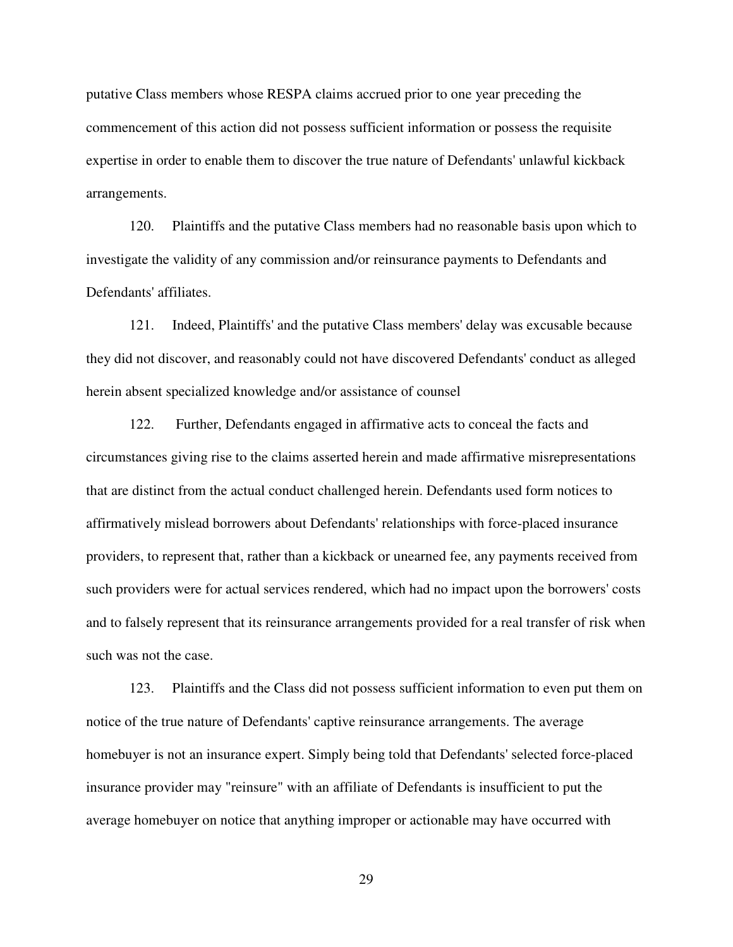putative Class members whose RESPA claims accrued prior to one year preceding the commencement of this action did not possess sufficient information or possess the requisite expertise in order to enable them to discover the true nature of Defendants' unlawful kickback arrangements.

120. Plaintiffs and the putative Class members had no reasonable basis upon which to investigate the validity of any commission and/or reinsurance payments to Defendants and Defendants' affiliates.

121. Indeed, Plaintiffs' and the putative Class members' delay was excusable because they did not discover, and reasonably could not have discovered Defendants' conduct as alleged herein absent specialized knowledge and/or assistance of counsel

122. Further, Defendants engaged in affirmative acts to conceal the facts and circumstances giving rise to the claims asserted herein and made affirmative misrepresentations that are distinct from the actual conduct challenged herein. Defendants used form notices to affirmatively mislead borrowers about Defendants' relationships with force-placed insurance providers, to represent that, rather than a kickback or unearned fee, any payments received from such providers were for actual services rendered, which had no impact upon the borrowers' costs and to falsely represent that its reinsurance arrangements provided for a real transfer of risk when such was not the case.

123. Plaintiffs and the Class did not possess sufficient information to even put them on notice of the true nature of Defendants' captive reinsurance arrangements. The average homebuyer is not an insurance expert. Simply being told that Defendants' selected force-placed insurance provider may "reinsure" with an affiliate of Defendants is insufficient to put the average homebuyer on notice that anything improper or actionable may have occurred with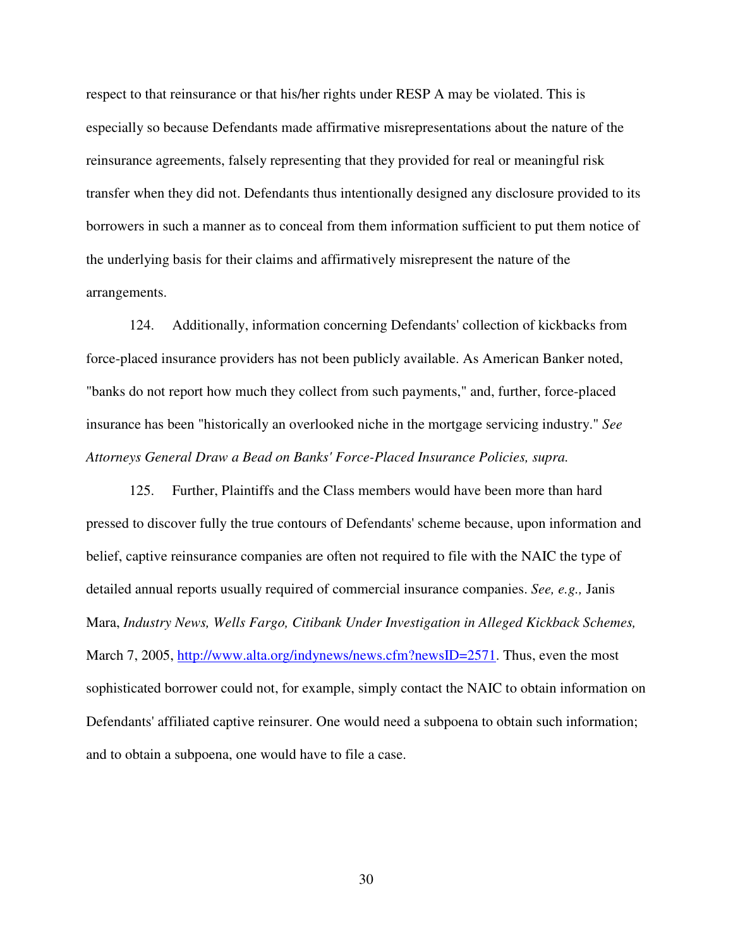respect to that reinsurance or that his/her rights under RESP A may be violated. This is especially so because Defendants made affirmative misrepresentations about the nature of the reinsurance agreements, falsely representing that they provided for real or meaningful risk transfer when they did not. Defendants thus intentionally designed any disclosure provided to its borrowers in such a manner as to conceal from them information sufficient to put them notice of the underlying basis for their claims and affirmatively misrepresent the nature of the arrangements.

124. Additionally, information concerning Defendants' collection of kickbacks from force-placed insurance providers has not been publicly available. As American Banker noted, "banks do not report how much they collect from such payments," and, further, force-placed insurance has been "historically an overlooked niche in the mortgage servicing industry." *See Attorneys General Draw a Bead on Banks' Force-Placed Insurance Policies, supra.*

125. Further, Plaintiffs and the Class members would have been more than hard pressed to discover fully the true contours of Defendants' scheme because, upon information and belief, captive reinsurance companies are often not required to file with the NAIC the type of detailed annual reports usually required of commercial insurance companies. *See, e.g.,* Janis Mara, *Industry News, Wells Fargo, Citibank Under Investigation in Alleged Kickback Schemes,*  March 7, 2005, http://www.alta.org/indynews/news.cfm?newsID=2571. Thus, even the most sophisticated borrower could not, for example, simply contact the NAIC to obtain information on Defendants' affiliated captive reinsurer. One would need a subpoena to obtain such information; and to obtain a subpoena, one would have to file a case.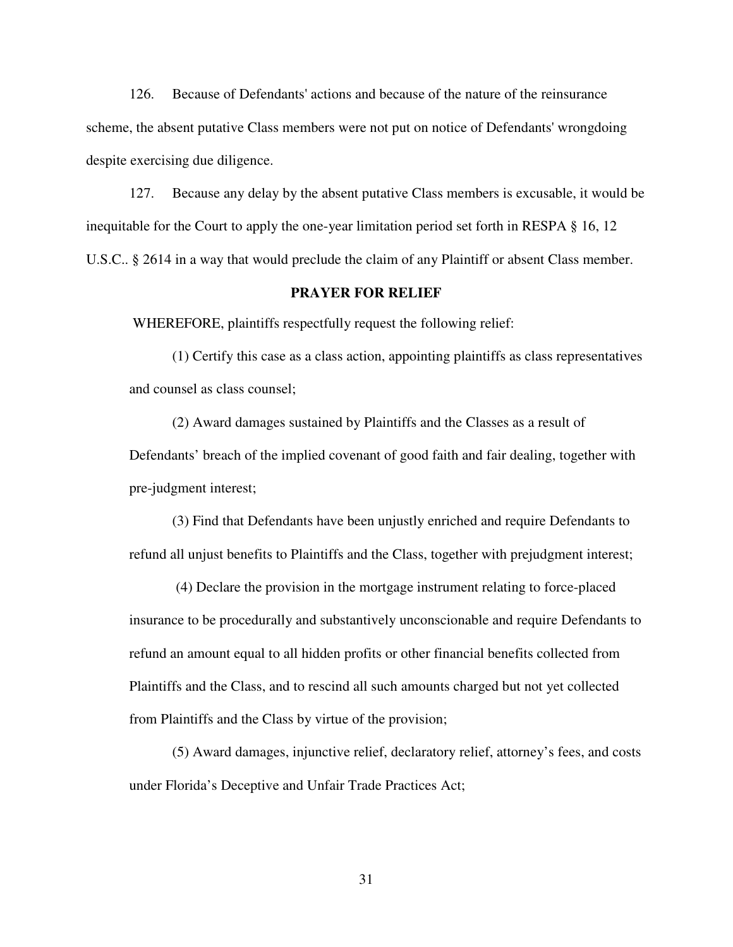126. Because of Defendants' actions and because of the nature of the reinsurance scheme, the absent putative Class members were not put on notice of Defendants' wrongdoing despite exercising due diligence.

127. Because any delay by the absent putative Class members is excusable, it would be inequitable for the Court to apply the one-year limitation period set forth in RESPA § 16, 12 U.S.C.. § 2614 in a way that would preclude the claim of any Plaintiff or absent Class member.

#### **PRAYER FOR RELIEF**

WHEREFORE, plaintiffs respectfully request the following relief:

(1) Certify this case as a class action, appointing plaintiffs as class representatives and counsel as class counsel;

(2) Award damages sustained by Plaintiffs and the Classes as a result of Defendants' breach of the implied covenant of good faith and fair dealing, together with pre-judgment interest;

(3) Find that Defendants have been unjustly enriched and require Defendants to refund all unjust benefits to Plaintiffs and the Class, together with prejudgment interest;

 (4) Declare the provision in the mortgage instrument relating to force-placed insurance to be procedurally and substantively unconscionable and require Defendants to refund an amount equal to all hidden profits or other financial benefits collected from Plaintiffs and the Class, and to rescind all such amounts charged but not yet collected from Plaintiffs and the Class by virtue of the provision;

(5) Award damages, injunctive relief, declaratory relief, attorney's fees, and costs under Florida's Deceptive and Unfair Trade Practices Act;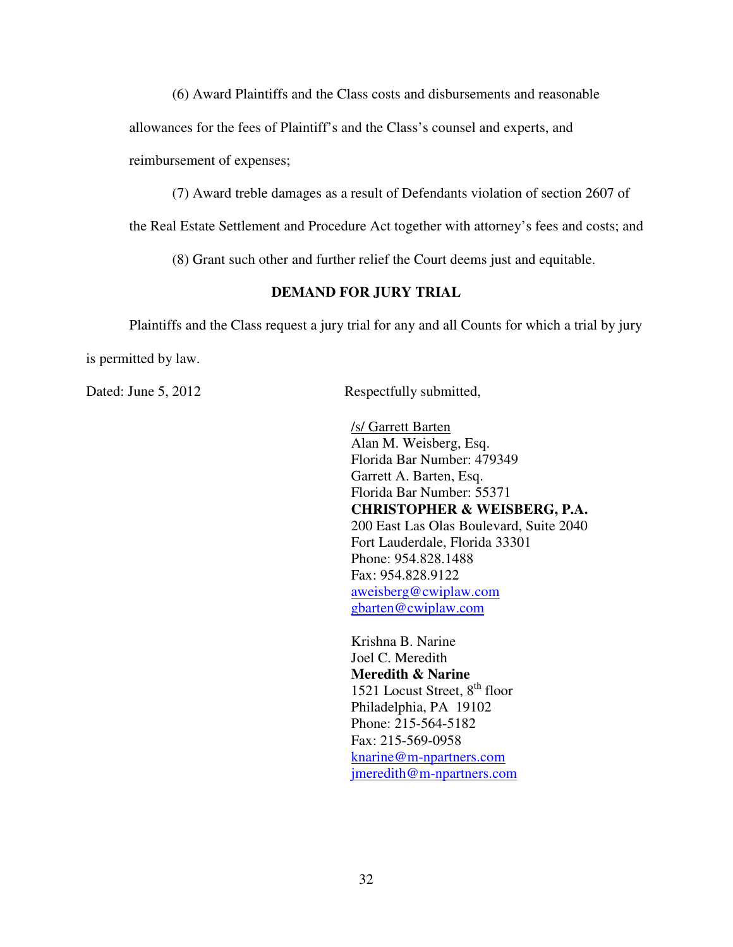(6) Award Plaintiffs and the Class costs and disbursements and reasonable

allowances for the fees of Plaintiff's and the Class's counsel and experts, and

reimbursement of expenses;

(7) Award treble damages as a result of Defendants violation of section 2607 of

the Real Estate Settlement and Procedure Act together with attorney's fees and costs; and

(8) Grant such other and further relief the Court deems just and equitable.

## **DEMAND FOR JURY TRIAL**

Plaintiffs and the Class request a jury trial for any and all Counts for which a trial by jury

is permitted by law.

Dated: June 5, 2012 Respectfully submitted,

/s/ Garrett Barten Alan M. Weisberg, Esq. Florida Bar Number: 479349 Garrett A. Barten, Esq. Florida Bar Number: 55371 **CHRISTOPHER & WEISBERG, P.A.**  200 East Las Olas Boulevard, Suite 2040 Fort Lauderdale, Florida 33301 Phone: 954.828.1488 Fax: 954.828.9122 aweisberg@cwiplaw.com gbarten@cwiplaw.com

Krishna B. Narine Joel C. Meredith **Meredith & Narine**  1521 Locust Street,  $8<sup>th</sup>$  floor Philadelphia, PA 19102 Phone: 215-564-5182 Fax: 215-569-0958 knarine@m-npartners.com jmeredith@m-npartners.com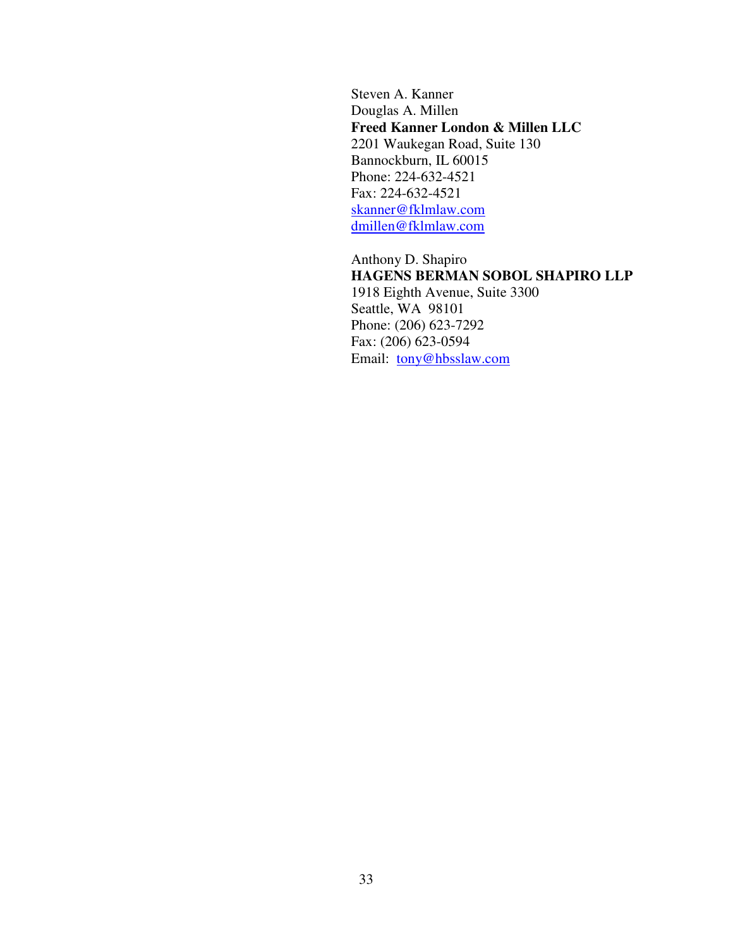Steven A. Kanner Douglas A. Millen **Freed Kanner London & Millen LLC**  2201 Waukegan Road, Suite 130 Bannockburn, IL 60015 Phone: 224-632-4521 Fax: 224-632-4521 skanner@fklmlaw.com dmillen@fklmlaw.com

Anthony D. Shapiro **HAGENS BERMAN SOBOL SHAPIRO LLP**  1918 Eighth Avenue, Suite 3300 Seattle, WA 98101 Phone: (206) 623-7292 Fax: (206) 623-0594 Email: tony@hbsslaw.com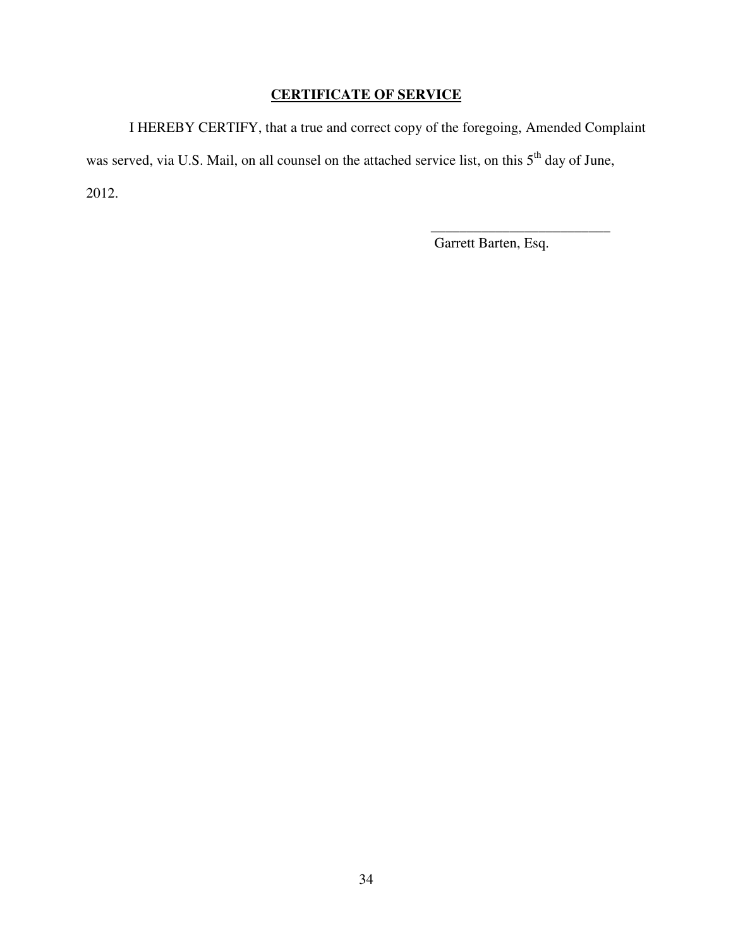# **CERTIFICATE OF SERVICE**

I HEREBY CERTIFY, that a true and correct copy of the foregoing, Amended Complaint was served, via U.S. Mail, on all counsel on the attached service list, on this 5<sup>th</sup> day of June, 2012.

Garrett Barten, Esq.

\_\_\_\_\_\_\_\_\_\_\_\_\_\_\_\_\_\_\_\_\_\_\_\_\_